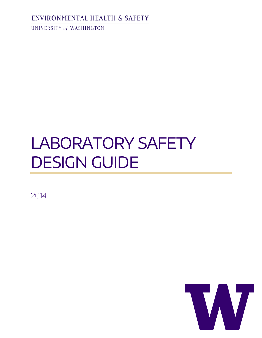# ENVIRONMENTAL HEALTH & SAFETY

UNIVERSITY of WASHINGTON

# LABORATORY SAFETY DESIGN GUIDE

2014

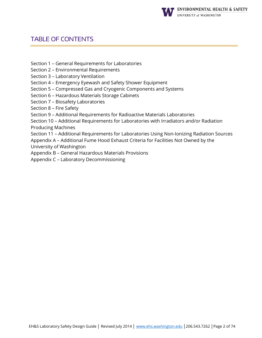

# TABLE OF CONTENTS

- Section 1 [General Requirements for Laboratories](#page-3-0)
- Section 2 [Environmental Requirements](#page-7-0)
- Section 3 [Laboratory Ventilation](#page-11-0)
- Section 4 [Emergency Eyewash and Safety Shower Equipment](#page-16-0)
- Section 5 [Compressed Gas and Cryogenic Components and Systems](#page-17-0)
- Section 6 [Hazardous Materials Storage](#page-20-0) Cabinets
- Section 7 [Biosafety Laboratories](#page-23-0)
- [Section 8 –](#page-31-0) Fire Safety
- Section 9 [Additional Requirements for Radioactive Materials Laboratories](#page-37-0)
- Section 10 [Additional Requirements for Laboratories with Irradiators and/or Radiation](#page-41-0)  [Producing Machines](#page-41-0)
- Section 11 [Additional Requirements for Laboratories Using Non-Ionizing Radiation Sources](#page-50-0)
- Appendix A [Additional Fume Hood Exhaust Criteria for Facilities Not Owned by the](#page-57-0)  [University of Washington](#page-57-0)
- Appendix B [General Hazardous Materials Provisions](#page-62-0)
- Appendix C [Laboratory Decommissioning](#page-68-0)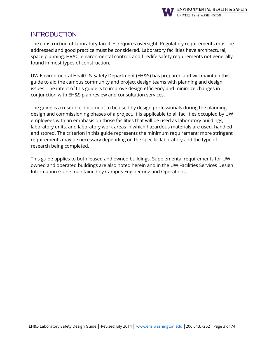

### **INTRODUCTION**

The construction of laboratory facilities requires oversight. Regulatory requirements must be addressed and good practice must be considered. Laboratory facilities have architectural, space planning, HVAC, environmental control, and fire/life safety requirements not generally found in most types of construction.

UW Environmental Health & Safety Department (EH&S) has prepared and will maintain this guide to aid the campus community and project design teams with planning and design issues. The intent of this guide is to improve design efficiency and minimize changes in conjunction with EH&S plan review and consultation services.

The guide is a resource document to be used by design professionals during the planning, design and commissioning phases of a project. It is applicable to all facilities occupied by UW employees with an emphasis on those facilities that will be used as laboratory buildings, laboratory units, and laboratory work areas in which hazardous materials are used, handled and stored. The criterion in this guide represents the minimum requirement; more stringent requirements may be necessary depending on the specific laboratory and the type of research being completed.

This guide applies to both leased and owned buildings. Supplemental requirements for UW owned and operated buildings are also noted herein and in the UW Facilities Services Design Information Guide maintained by Campus Engineering and Operations.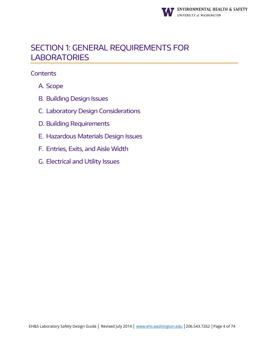

# <span id="page-3-0"></span>[SECTION 1: GENERAL REQUIREMENTS FOR](#page-3-1)  **[LABORATORIES](#page-3-1)**

- <span id="page-3-1"></span>A. [Scope](#page-3-1)
- B. [Building Design](#page-3-1) Issues
- C. [Laboratory Design Considerations](#page-3-1)
- D. Building [Requirements](#page-3-1)
- E. [Hazardous Materials Design Issues](#page-3-1)
- F. [Entries, Exits, and Aisle](#page-3-1) Width
- G. [Electrical and Utility](#page-3-1) Issues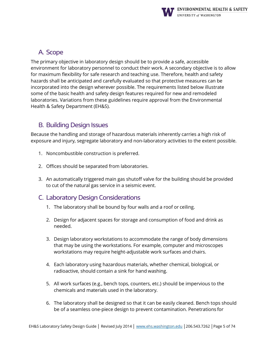

# A. Scope

The primary objective in laboratory design should be to provide a safe, accessible environment for laboratory personnel to conduct their work. A secondary objective is to allow for maximum flexibility for safe research and teaching use. Therefore, health and safety hazards shall be anticipated and carefully evaluated so that protective measures can be incorporated into the design wherever possible. The requirements listed below illustrate some of the basic health and safety design features required for new and remodeled laboratories. Variations from these guidelines require approval from the Environmental Health & Safety Department (EH&S).

# B. Building Design Issues

Because the handling and storage of hazardous materials inherently carries a high risk of exposure and injury, segregate laboratory and non-laboratory activities to the extent possible.

- 1. Noncombustible construction is preferred.
- 2. Offices should be separated from laboratories.
- 3. An automatically triggered main gas shutoff valve for the building should be provided to cut of the natural gas service in a seismic event.

# C. Laboratory Design Considerations

- 1. The laboratory shall be bound by four walls and a roof or ceiling.
- 2. Design for adjacent spaces for storage and consumption of food and drink as needed.
- 3. Design laboratory workstations to accommodate the range of body dimensions that may be using the workstations. For example, computer and microscopes workstations may require height-adjustable work surfaces and chairs.
- 4. Each laboratory using hazardous materials, whether chemical, biological, or radioactive, should contain a sink for hand washing.
- 5. All work surfaces (e.g., bench tops, counters, etc.) should be impervious to the chemicals and materials used in the laboratory.
- 6. The laboratory shall be designed so that it can be easily cleaned. Bench tops should be of a seamless one-piece design to prevent contamination. Penetrations for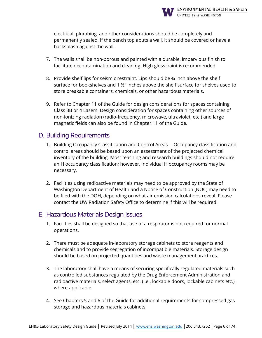

electrical, plumbing, and other considerations should be completely and permanently sealed. If the bench top abuts a wall, it should be covered or have a backsplash against the wall.

- 7. The walls shall be non-porous and painted with a durable, impervious finish to facilitate decontamination and cleaning. High gloss paint is recommended.
- 8. Provide shelf lips for seismic restraint. Lips should be ¾ inch above the shelf surface for bookshelves and 1 ½" inches above the shelf surface for shelves used to store breakable containers, chemicals, or other hazardous materials.
- 9. Refer to Chapter 11 of the Guide for design considerations for spaces containing Class 3B or 4 Lasers. Design consideration for spaces containing other sources of non-ionizing radiation (radio-frequency, microwave, ultraviolet, etc.) and large magnetic fields can also be found in Chapter 11 of the Guide.

#### D. Building Requirements

- 1. Building Occupancy Classification and Control Areas— Occupancy classification and control areas should be based upon an assessment of the projected chemical inventory of the building. Most teaching and research buildings should not require an H occupancy classification; however, individual H occupancy rooms may be necessary.
- 2. Facilities using radioactive materials may need to be approved by the State of Washington Department of Health and a Notice of Construction (NOC) may need to be filed with the DOH, depending on what air emission calculations reveal. Please contact the UW Radiation Safety Office to determine if this will be required.

#### E. Hazardous Materials Design Issues

- 1. Facilities shall be designed so that use of a respirator is not required for normal operations.
- 2. There must be adequate in-laboratory storage cabinets to store reagents and chemicals and to provide segregation of incompatible materials. Storage design should be based on projected quantities and waste management practices.
- 3. The laboratory shall have a means of securing specifically regulated materials such as controlled substances regulated by the Drug Enforcement Administration and radioactive materials, select agents, etc. (i.e., lockable doors, lockable cabinets etc.), where applicable.
- 4. See Chapters 5 and 6 of the Guide for additional requirements for compressed gas storage and hazardous materials cabinets.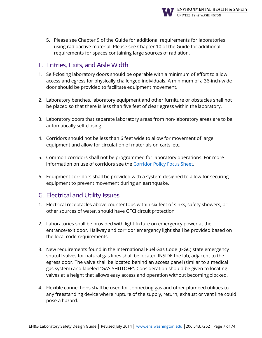

5. Please see Chapter 9 of the Guide for additional requirements for laboratories using radioactive material. Please see Chapter 10 of the Guide for additional requirements for spaces containing large sources of radiation.

# F. Entries, Exits, and Aisle Width

- 1. Self-closing laboratory doors should be operable with a minimum of effort to allow access and egress for physically challenged individuals. A minimum of a 36-inch-wide door should be provided to facilitate equipment movement.
- 2. Laboratory benches, laboratory equipment and other furniture or obstacles shall not be placed so that there is less than five feet of clear egress within the laboratory.
- 3. Laboratory doors that separate laboratory areas from non-laboratory areas are to be automatically self-closing.
- 4. Corridors should not be less than 6 feet wide to allow for movement of large equipment and allow for circulation of materials on carts, etc.
- 5. Common corridors shall not be programmed for laboratory operations. For more information on use of corridors see the [Corridor Policy Focus](http://ehs.washington.edu/resource/corridor-policy-focus-sheet-209) Sheet.
- 6. Equipment corridors shall be provided with a system designed to allow for securing equipment to prevent movement during an earthquake.

# G. Electrical and Utility Issues

- 1. Electrical receptacles above counter tops within six feet of sinks, safety showers, or other sources of water, should have GFCI circuit protection
- 2. Laboratories shall be provided with light fixture on emergency power at the entrance/exit door. Hallway and corridor emergency light shall be provided based on the local code requirements.
- 3. New requirements found in the International Fuel Gas Code (IFGC) state emergency shutoff valves for natural gas lines shall be located INSIDE the lab, adjacent to the egress door. The valve shall be located behind an access panel (similar to a medical gas system) and labeled "GAS SHUTOFF". Consideration should be given to locating valves at a height that allows easy access and operation without becomingblocked.
- 4. Flexible connections shall be used for connecting gas and other plumbed utilities to any freestanding device where rupture of the supply, return, exhaust or vent line could pose a hazard.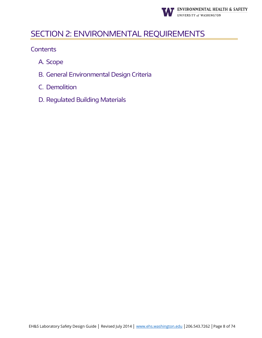

# <span id="page-7-0"></span>SECTION 2: ENVIRONMENTAL REQUIREMENTS

- A. Scope
- B. General Environmental Design Criteria
- C. Demolition
- D. Regulated Building Materials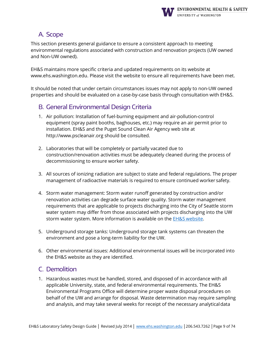

# A. Scope

This section presents general guidance to ensure a consistent approach to meeting environmental regulations associated with construction and renovation projects (UW owned and Non-UW owned).

EH&S maintains more specific criteria and updated requirements on its website a[t](http://www.ehs.washington.edu/) [www.ehs.washington.edu.](http://www.ehs.washington.edu/) Please visit the website to ensure all requirements have been met.

It should be noted that under certain circumstances issues may not apply to non-UW owned properties and should be evaluated on a case-by-case basis through consultation with EH&S.

# B. General Environmental Design Criteria

- 1. Air pollution: Installation of fuel-burning equipment and air-pollution-control equipment (spray paint booths, baghouses, etc.) may require an air permit prior to installation. EH&S and the Puget Sound Clean Air Agency web site at [http://www.pscleanair.org s](http://www.pscleanair.org/)hould be consulted.
- 2. Laboratories that will be completely or partially vacated due to construction/renovation activities must be adequately cleaned during the process of decommissioning to ensure worker safety.
- 3. All sources of ionizing radiation are subject to state and federal regulations. The proper management of radioactive materials is required to ensure continued worker safety.
- 4. Storm water management: Storm water runoff generated by construction and/or renovation activities can degrade surface water quality. Storm water management requirements that are applicable to projects discharging into the City of Seattle storm water system may differ from those associated with projects discharging into the UW storm water system. More information is available on the **EH&S website**.
- 5. Underground storage tanks: Underground storage tank systems can threaten the environment and pose a long-term liability for the UW.
- 6. Other environmental issues: Additional environmental issues will be incorporated into the EH&S website as they are identified.

# C. Demolition

1. Hazardous wastes must be handled, stored, and disposed of in accordance with all applicable University, state, and federal environmental requirements. The EH&S Environmental Programs Office will determine proper waste disposal procedures on behalf of the UW and arrange for disposal. Waste determination may require sampling and analysis, and may take several weeks for receipt of the necessary analyticaldata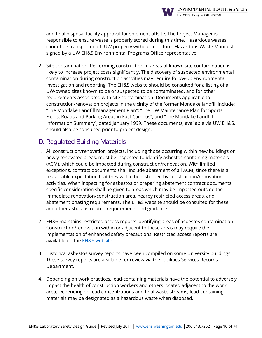

and final disposal facility approval for shipment offsite. The Project Manager is responsible to ensure waste is properly stored during this time. Hazardous wastes cannot be transported off UW property without a Uniform Hazardous Waste Manifest signed by a UW EH&S Environmental Programs Office representative.

2. Site contamination: Performing construction in areas of known site contamination is likely to increase project costs significantly. The discovery of suspected environmental contamination during construction activities may require follow-up environmental investigation and reporting. The EH&S website should be consulted for a listing of all UW-owned sites known to be or suspected to be contaminated, and for other requirements associated with site contamination. Documents applicable to construction/renovation projects in the vicinity of the former Montlake landfill include: "The Montlake Landfill Management Plan"; "The UW Maintenance Plan for Sports Fields, Roads and Parking Areas in East Campus"; and "The Montlake Landfill Information Summary", dated January 1999. These documents, available via UW EH&S, should also be consulted prior to project design.

#### D. Regulated Building Materials

- 1. All construction/renovation projects, including those occurring within new buildings or newly renovated areas, must be inspected to identify asbestos-containing materials (ACM), which could be impacted during construction/renovation. With limited exceptions, contract documents shall include abatement of all ACM, since there is a reasonable expectation that they will to be disturbed by construction/renovation activities. When inspecting for asbestos or preparing abatement contract documents, specific consideration shall be given to areas which may be impacted outside the immediate renovation/construction area, nearby restricted access areas, and abatement phasing requirements. The EH&S website should be consulted for these and other asbestos-related requirements and guidance.
- 2. EH&S maintains restricted access reports identifying areas of asbestos contamination. Construction/renovation within or adjacent to these areas may require the implementation of enhanced safety precautions. Restricted access reports are available on the EH&S [website.](http://www.ehs.washington.edu/)
- 3. Historical asbestos survey reports have been compiled on some University buildings. These survey reports are available for review via the Facilities Services Records Department.
- 4. Depending on work practices, lead-containing materials have the potential to adversely impact the health of construction workers and others located adjacent to the work area. Depending on lead concentrations and final waste streams, lead-containing materials may be designated as a hazardous waste when disposed.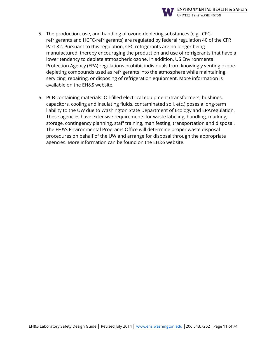

- 5. The production, use, and handling of ozone-depleting substances (e.g., CFCrefrigerants and HCFC-refrigerants) are regulated by federal regulation 40 of the CFR Part 82. Pursuant to this regulation, CFC-refrigerants are no longer being manufactured, thereby encouraging the production and use of refrigerants that have a lower tendency to deplete atmospheric ozone. In addition, US Environmental Protection Agency (EPA) regulations prohibit individuals from knowingly venting ozonedepleting compounds used as refrigerants into the atmosphere while maintaining, servicing, repairing, or disposing of refrigeration equipment. More information is available on the EH&S website.
- 6. PCB-containing materials: Oil-filled electrical equipment (transformers, bushings, capacitors, cooling and insulating fluids, contaminated soil, etc.) poses a long-term liability to the UW due to Washington State Department of Ecology and EPAregulation. These agencies have extensive requirements for waste labeling, handling, marking, storage, contingency planning, staff training, manifesting, transportation and disposal. The EH&S Environmental Programs Office will determine proper waste disposal procedures on behalf of the UW and arrange for disposal through the appropriate agencies. More information can be found on the EH&S website.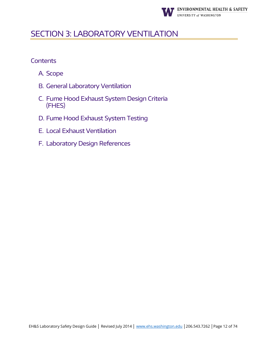

# <span id="page-11-0"></span>SECTION 3: LABORATORY VENTILATION

- A. Scope
- B. General Laboratory Ventilation
- C. Fume Hood Exhaust System Design Criteria (FHES)
- D. Fume Hood Exhaust System Testing
- E. Local Exhaust Ventilation
- F. Laboratory Design References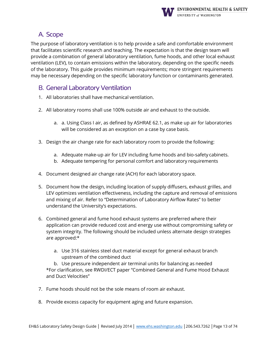

# A. Scope

The purpose of laboratory ventilation is to help provide a safe and comfortable environment that facilitates scientific research and teaching. The expectation is that the design team will provide a combination of general laboratory ventilation, fume hoods, and other local exhaust ventilation (LEV), to contain emissions within the laboratory, depending on the specific needs of the laboratory. This guide provides minimum requirements; more stringent requirements may be necessary depending on the specific laboratory function or contaminants generated.

# B. General Laboratory Ventilation

- 1. All laboratories shall have mechanical ventilation.
- 2. All laboratory rooms shall use 100% outside air and exhaust to the outside.
	- a. a. Using Class I air, as defined by ASHRAE 62.1, as make up air for laboratories will be considered as an exception on a case by case basis.
- 3. Design the air change rate for each laboratory room to provide the following:
	- a. Adequate make-up air for LEV including fume hoods and bio-safety cabinets.
	- b. Adequate tempering for personal comfort and laboratory requirements
- 4. Document designed air change rate (ACH) for each laboratory space.
- 5. Document how the design, including location of supply diffusers, exhaust grilles, and LEV optimizes ventilation effectiveness, including the capture and removal of emissions and mixing of air. Refer to "Determination of Laboratory Airflow Rates" to better understand the University's expectations.
- 6. Combined general and fume hood exhaust systems are preferred where their application can provide reduced cost and energy use without compromising safety or system integrity. The following should be included unless alternate design strategies are approved:\*
	- a. Use 316 stainless steel duct material except for general exhaust branch upstream of the combined duct

b. Use pressure independent air terminal units for balancing as needed \*For clarification, see RWDI/ECT paper "Combined General and Fume Hood Exhaust and Duct Velocities"

- 7. Fume hoods should not be the sole means of room air exhaust.
- 8. Provide excess capacity for equipment aging and future expansion.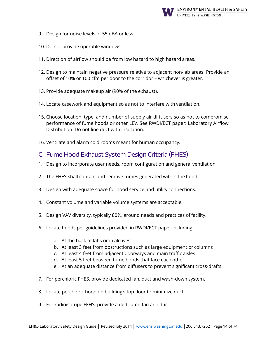

- 9. Design for noise levels of 55 dBA or less.
- 10. Do not provide operable windows.
- 11. Direction of airflow should be from low hazard to high hazard areas.
- 12. Design to maintain negative pressure relative to adjacent non-lab areas. Provide an offset of 10% or 100 cfm per door to the corridor – whichever is greater.
- 13. Provide adequate makeup air (90% of the exhaust).
- 14. Locate casework and equipment so as not to interfere with ventilation.
- 15. Choose location, type, and number of supply air diffusers so as not to compromise performance of fume hoods or other LEV. See RWDI/ECT paper: Laboratory Airflow Distribution. Do not line duct with insulation.
- 16. Ventilate and alarm cold rooms meant for human occupancy.

#### C. Fume Hood Exhaust System Design Criteria (FHES)

- 1. Design to incorporate user needs, room configuration and general ventilation.
- 2. The FHES shall contain and remove fumes generated within the hood.
- 3. Design with adequate space for hood service and utility connections.
- 4. Constant volume and variable volume systems are acceptable.
- 5. Design VAV diversity, typically 80%, around needs and practices of facility.
- 6. Locate hoods per guidelines provided in RWDI/ECT paper including:
	- a. At the back of labs or in alcoves
	- b. At least 3 feet from obstructions such as large equipment or columns
	- c. At least 4 feet from adjacent doorways and main traffic aisles
	- d. At least 5 feet between fume hoods that face each other
	- e. At an adequate distance from diffusers to prevent significant cross-drafts
- 7. For perchloric FHES, provide dedicated fan, duct and wash-down system.
- 8. Locate perchloric hood on building's top floor to minimize duct.
- 9. For radioisotope FEHS, provide a dedicated fan and duct.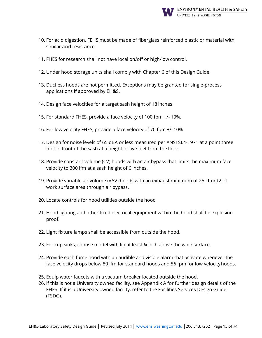

- 10. For acid digestion, FEHS must be made of fiberglass reinforced plastic or material with similar acid resistance.
- 11. FHES for research shall not have local on/off or high/low control.
- 12. Under hood storage units shall comply with Chapter 6 of this Design Guide.
- 13. Ductless hoods are not permitted. Exceptions may be granted for single-process applications if approved by EH&S.
- 14. Design face velocities for a target sash height of 18 inches
- 15. For standard FHES, provide a face velocity of 100 fpm +/- 10%.
- 16. For low velocity FHES, provide a face velocity of 70 fpm +/- 10%
- 17. Design for noise levels of 65 dBA or less measured per ANSI SI.4-1971 at a point three foot in front of the sash at a height of five feet from the floor.
- 18. Provide constant volume (CV) hoods with an air bypass that limits the maximum face velocity to 300 lfm at a sash height of 6 inches.
- 19. Provide variable air volume (VAV) hoods with an exhaust minimum of 25 cfm/ft2 of work surface area through air bypass.
- 20. Locate controls for hood utilities outside the hood
- 21. Hood lighting and other fixed electrical equipment within the hood shall be explosion proof.
- 22. Light fixture lamps shall be accessible from outside the hood.
- 23. For cup sinks, choose model with lip at least ¼ inch above the work surface.
- 24. Provide each fume hood with an audible and visible alarm that activate whenever the face velocity drops below 80 lfm for standard hoods and 56 fpm for low velocityhoods.
- 25. Equip water faucets with a vacuum breaker located outside the hood.
- 26. If this is not a University owned facility, see Appendix A for further design details of the FHES. If it is a University owned facility, refer to the Facilities Services Design Guide (FSDG).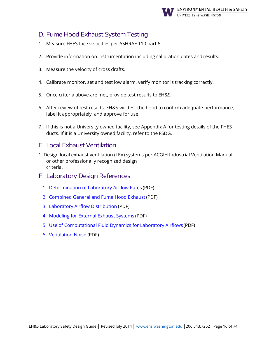

# D. Fume Hood Exhaust System Testing

- 1. Measure FHES face velocities per ASHRAE 110 part 6.
- 2. Provide information on instrumentation including calibration dates and results.
- 3. Measure the velocity of cross drafts.
- 4. Calibrate monitor, set and test low alarm, verify monitor is tracking correctly.
- 5. Once criteria above are met, provide test results to EH&S.
- 6. After review of test results, EH&S will test the hood to confirm adequate performance, label it appropriately, and approve for use.
- 7. If this is not a University owned facility, see Appendix A for testing details of the FHES ducts. If it is a University owned facility, refer to the FSDG.

#### E. Local Exhaust Ventilation

- 1. Design local exhaust ventilation (LEV) systems per ACGIH Industrial Ventilation Manual or other professionally recognized design criteria.
- F. Laboratory Design References
	- 1. [Determination of Laboratory Airflow Rates](http://www.ehs.washington.edu/system/files/resources/1a-rwdi.pdf) (PDF)
	- 2. [Combined General and Fume Hood Exhaust](http://www.ehs.washington.edu/system/files/resources/1b-rwdi.pdf) (PDF)
	- 3. [Laboratory Airflow Distribution](http://www.ehs.washington.edu/system/files/resources/1c-rwdi.pdf) (PDF)
	- 4. [Modeling for External Exhaust Systems](http://www.ehs.washington.edu/system/files/resources/1d-rwdi.pdf) (PDF)
	- 5. [Use of Computational Fluid Dynamics for Laboratory Airflows\(](http://www.ehs.washington.edu/system/files/resources/1e-rwdi.pdf)PDF)
	- 6. [Ventilation Noise](http://www.ehs.washington.edu/system/files/resources/1f-rwdi.pdf) (PDF)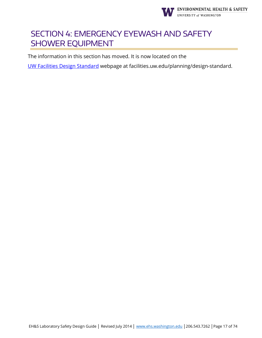

# <span id="page-16-0"></span>SECTION 4: EMERGENCY EYEWASH AND SAFETY SHOWER EQUIPMENT

The information in this section has moved. It is now located on the

[UW Facilities Design Standard](https://facilities.uw.edu/planning/design-standard) webpage at facilities.uw.edu/planning/design-standard.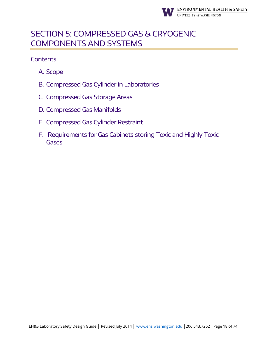

# <span id="page-17-0"></span>SECTION 5: COMPRESSED GAS & CRYOGENIC COMPONENTS AND SYSTEMS

- A. Scope
- B. Compressed Gas Cylinder in Laboratories
- C. Compressed Gas Storage Areas
- D. Compressed Gas Manifolds
- E. Compressed Gas Cylinder Restraint
- F. Requirements for Gas Cabinets storing Toxic and Highly Toxic **Gases**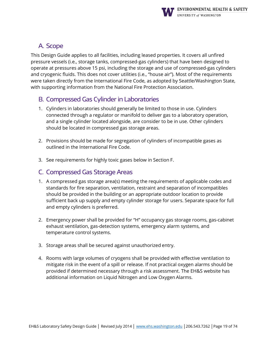

# A. Scope

This Design Guide applies to all facilities, including leased properties. It covers all unfired pressure vessels (i.e., storage tanks, compressed-gas cylinders) that have been designed to operate at pressures above 15 psi, including the storage and use of compressed-gas cylinders and cryogenic fluids. This does not cover utilities (i.e., "house air"). Most of the requirements were taken directly from the International Fire Code, as adopted by Seattle/Washington State, with supporting information from the National Fire Protection Association.

#### B. Compressed Gas Cylinder in Laboratories

- 1. Cylinders in laboratories should generally be limited to those in use. Cylinders connected through a regulator or manifold to deliver gas to a laboratory operation, and a single cylinder located alongside, are consider to be in use. Other cylinders should be located in compressed gas storage areas.
- 2. Provisions should be made for segregation of cylinders of incompatible gases as outlined in the International Fire Code.
- 3. See requirements for highly toxic gases below in Section F.

#### C. Compressed Gas Storage Areas

- 1. A compressed gas storage area(s) meeting the requirements of applicable codes and standards for fire separation, ventilation, restraint and separation of incompatibles should be provided in the building or an appropriate outdoor location to provide sufficient back up supply and empty cylinder storage for users. Separate space for full and empty cylinders is preferred.
- 2. Emergency power shall be provided for "H" occupancy gas storage rooms, gas-cabinet exhaust ventilation, gas-detection systems, emergency alarm systems, and temperature control systems.
- 3. Storage areas shall be secured against unauthorized entry.
- 4. Rooms with large volumes of cryogens shall be provided with effective ventilation to mitigate risk in the event of a spill or release. If not practical oxygen alarms should be provided if determined necessary through a risk assessment. The EH&S website has additional information on Liquid Nitrogen and Low Oxygen Alarms.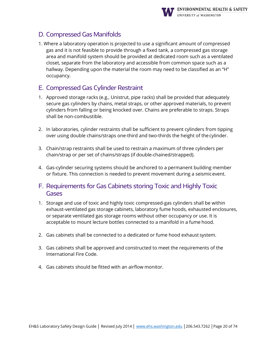

# D. Compressed Gas Manifolds

1. Where a laboratory operation is projected to use a significant amount of compressed gas and it is not feasible to provide through a fixed tank, a compressed gas storage area and manifold system should be provided at dedicated room such as a ventilated closet, separate from the laboratory and accessible from common space such as a hallway. Depending upon the material the room may need to be classified as an "H" occupancy.

# E. Compressed Gas Cylinder Restraint

- 1. Approved storage racks (e.g., Unistrut, pipe racks) shall be provided that adequately secure gas cylinders by chains, metal straps, or other approved materials, to prevent cylinders from falling or being knocked over. Chains are preferable to straps. Straps shall be non-combustible.
- 2. In laboratories, cylinder restraints shall be sufficient to prevent cylinders from tipping over using double chains/straps one-third and two-thirds the height of thecylinder.
- 3. Chain/strap restraints shall be used to restrain a maximum of three cylinders per chain/strap or per set of chains/straps (if double-chained/strapped).
- 4. Gas-cylinder securing systems should be anchored to a permanent building member or fixture. This connection is needed to prevent movement during a seismicevent.
- F. Requirements for Gas Cabinets storing Toxic and Highly Toxic Gases
- 1. Storage and use of toxic and highly toxic compressed-gas cylinders shall be within exhaust-ventilated gas storage cabinets, laboratory fume hoods, exhausted enclosures, or separate ventilated gas storage rooms without other occupancy or use. It is acceptable to mount lecture bottles connected to a manifold in a fume hood.
- 2. Gas cabinets shall be connected to a dedicated or fume hood exhaust system.
- 3. Gas cabinets shall be approved and constructed to meet the requirements of the International Fire Code.
- 4. Gas cabinets should be fitted with an airflow monitor.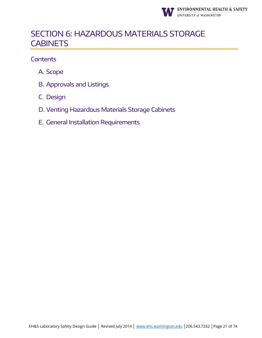

# <span id="page-20-0"></span>SECTION 6: HAZARDOUS MATERIALS STORAGE **CABINETS**

- A. Scope
- B. Approvals and Listings
- C. Design
- D. Venting Hazardous Materials Storage Cabinets
- E. General Installation Requirements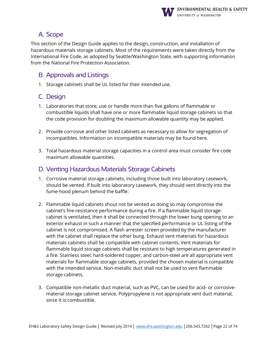

# A. Scope

This section of the Design Guide applies to the design, construction, and installation of hazardous materials storage cabinets. Most of the requirements were taken directly from the International Fire Code, as adopted by Seattle/Washington State, with supporting information from the National Fire Protection Association.

# B. Approvals and Listings

1. Storage cabinets shall be UL listed for their intended use.

# C. Design

- 1. Laboratories that store, use or handle more than five gallons of flammable or combustible liquids shall have one or more flammable liquid storage cabinets so that the code provision for doubling the maximum allowable quantity may be applied.
- 2. Provide corrosive and other listed cabinets as necessary to allow for segregation of incompatibles. Information on incompatible materials may be found here.
- 3. Total hazardous material storage capacities in a control area must consider fire code maximum allowable quantities.

# D. Venting Hazardous Materials Storage Cabinets

- 1. Corrosive material storage cabinets, including those built into laboratory casework, should be vented. If built into laboratory casework, they should vent directly into the fume-hood plenum behind the baffle.
- 2. Flammable liquid cabinets shout not be vented as doing so may compromise the cabinet's fire-resistance performance during a fire. If a flammable liquid storage cabinet is ventilated, then it shall be connected through the lower bung opening to an exterior exhaust in such a manner that the specified performance or UL listing of the cabinet is not compromised. A flash arrester screen provided by the manufacturer with the cabinet shall replace the other bung. Exhaust vent materials for hazardous materials cabinets shall be compatible with cabinet contents. Vent materials for flammable liquid storage cabinets shall be resistant to high temperatures generated in a fire. Stainless steel, hard-soldered copper, and carbon-steel are all appropriate vent materials for flammable storage cabinets, provided the chosen material is compatible with the intended service. Non-metallic duct shall not be used to vent flammable storage cabinets.
- 3. Compatible non-metallic duct material, such as PVC, can be used for acid- or corrosivematerial storage cabinet service. Polypropylene is not appropriate vent duct material, since it is combustible.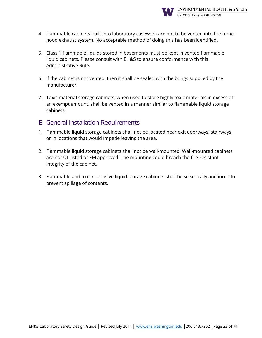

- 4. Flammable cabinets built into laboratory casework are not to be vented into the fumehood exhaust system. No acceptable method of doing this has been identified.
- 5. Class 1 flammable liquids stored in basements must be kept in vented flammable liquid cabinets. Please consult with EH&S to ensure conformance with this Administrative Rule.
- 6. If the cabinet is not vented, then it shall be sealed with the bungs supplied by the manufacturer.
- 7. Toxic material storage cabinets, when used to store highly toxic materials in excess of an exempt amount, shall be vented in a manner similar to flammable liquid storage cabinets.

#### E. General Installation Requirements

- 1. Flammable liquid storage cabinets shall not be located near exit doorways, stairways, or in locations that would impede leaving the area.
- 2. Flammable liquid storage cabinets shall not be wall-mounted. Wall-mounted cabinets are not UL listed or FM approved. The mounting could breach the fire-resistant integrity of the cabinet.
- 3. Flammable and toxic/corrosive liquid storage cabinets shall be seismically anchored to prevent spillage of contents.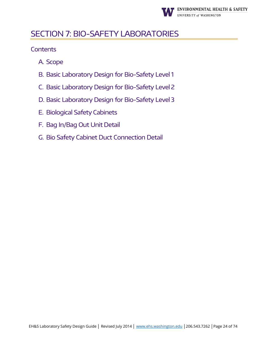

# <span id="page-23-0"></span>SECTION 7: BIO-SAFETY LABORATORIES

- A. Scope
- B. Basic Laboratory Design for Bio-Safety Level 1
- C. Basic Laboratory Design for Bio-Safety Level 2
- D. Basic Laboratory Design for Bio-Safety Level 3
- E. Biological Safety Cabinets
- F. Bag In/Bag Out Unit Detail
- G. Bio Safety Cabinet Duct Connection Detail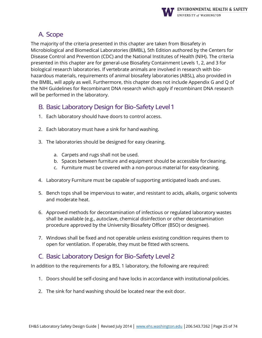

# A. Scope

The majority of the criteria presented in this chapter are taken from Biosafety in Microbiological and Biomedical Laboratories (BMBL), 5th Edition authored by the Centers for Disease Control and Prevention (CDC) and the National Institutes of Health (NIH). The criteria presented in this chapter are for general-use Biosafety Containment Levels 1, 2, and 3 for biological research laboratories. If vertebrate animals are involved in research with biohazardous materials, requirements of animal biosafety laboratories (ABSL), also provided in the BMBL, will apply as well. Furthermore, this chapter does not include Appendix G and Q of the NIH Guidelines for Recombinant DNA research which apply if recombinant DNA research will be performed in the laboratory.

- B. Basic Laboratory Design for Bio-Safety Level 1
- 1. Each laboratory should have doors to control access.
- 2. Each laboratory must have a sink for hand washing.
- 3. The laboratories should be designed for easy cleaning.
	- a. Carpets and rugs shall not be used.
	- b. Spaces between furniture and equipment should be accessible forcleaning.
	- c. Furniture must be covered with a non-porous material for easycleaning.
- 4. Laboratory Furniture must be capable of supporting anticipated loads and uses.
- 5. Bench tops shall be impervious to water, and resistant to acids, alkalis, organic solvents and moderate heat.
- 6. Approved methods for decontamination of infectious or regulated laboratory wastes shall be available (e.g., autoclave, chemical disinfection or other decontamination procedure approved by the University Biosafety Officer (BSO) or designee).
- 7. Windows shall be fixed and not operable unless existing condition requires them to open for ventilation. If operable, they must be fitted with screens.

# C. Basic Laboratory Design for Bio-Safety Level 2

In addition to the requirements for a BSL 1 laboratory, the following are required:

- 1. Doors should be self-closing and have locks in accordance with institutional policies.
- 2. The sink for hand washing should be located near the exit door.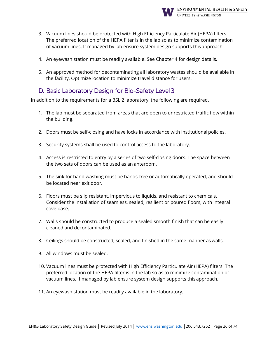

- 3. Vacuum lines should be protected with High Efficiency Particulate Air (HEPA) filters. The preferred location of the HEPA filter is in the lab so as to minimize contamination of vacuum lines. If managed by lab ensure system design supports this approach.
- 4. An eyewash station must be readily available. See Chapter 4 for design details.
- 5. An approved method for decontaminating all laboratory wastes should be available in the facility. Optimize location to minimize travel distance for users.

#### D. Basic Laboratory Design for Bio-Safety Level 3

In addition to the requirements for a BSL 2 laboratory, the following are required.

- 1. The lab must be separated from areas that are open to unrestricted traffic flow within the building.
- 2. Doors must be self-closing and have locks in accordance with institutional policies.
- 3. Security systems shall be used to control access to the laboratory.
- 4. Access is restricted to entry by a series of two self-closing doors. The space between the two sets of doors can be used as an anteroom.
- 5. The sink for hand washing must be hands-free or automatically operated, and should be located near exit door.
- 6. Floors must be slip resistant, impervious to liquids, and resistant to chemicals. Consider the installation of seamless, sealed, resilient or poured floors, with integral cove base.
- 7. Walls should be constructed to produce a sealed smooth finish that can be easily cleaned and decontaminated.
- 8. Ceilings should be constructed, sealed, and finished in the same manner as walls.
- 9. All windows must be sealed.
- 10. Vacuum lines must be protected with High Efficiency Particulate Air (HEPA) filters. The preferred location of the HEPA filter is in the lab so as to minimize contamination of vacuum lines. If managed by lab ensure system design supports this approach.
- 11. An eyewash station must be readily available in the laboratory.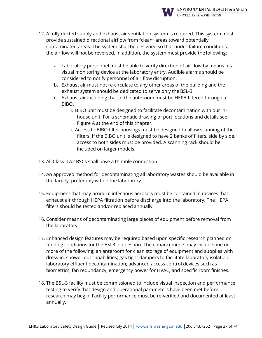

- 12. A fully ducted supply and exhaust air ventilation system is required. This system must provide sustained directional airflow from "clean" areas toward potentially contaminated areas. The system shall be designed so that under failure conditions, the airflow will not be reversed. In addition, the system must provide the following:
	- a. Laboratory personnel must be able to verify direction of air flow by means of a visual monitoring device at the laboratory entry. Audible alarms should be considered to notify personnel of air flow disruption.
	- b. Exhaust air must not re-circulate to any other areas of the building and the exhaust system should be dedicated to serve only the BSL-3.
	- c. Exhaust air including that of the anteroom must be HEPA filtered through a BIBO.
		- i. BIBO unit must be designed to facilitate decontamination with our inhouse unit. For a schematic drawing of port locations and details see Figure A at the end of this chapter.
		- ii. Access to BIBO filter housings must be designed to allow scanning of the filters. If the BIBO unit is designed to have 2 banks of filters, side by side, access to both sides must be provided. A scanning rack should be included on larger models.
- 13. All Class II A2 BSCs shall have a thimble connection.
- 14. An approved method for decontaminating all laboratory wastes should be available in the facility, preferably within the laboratory.
- 15. Equipment that may produce infectious aerosols must be contained in devices that exhaust air through HEPA filtration before discharge into the laboratory. The HEPA filters should be tested and/or replaced annually.
- 16. Consider means of decontaminating large pieces of equipment before removal from the laboratory.
- 17. Enhanced design features may be required based upon specific research planned or funding conditions for the BSL3 in question. The enhancements may include one or more of the following; an anteroom for clean storage of equipment and supplies with dress-in, shower-out capabilities; gas tight dampers to facilitate laboratory isolation; laboratory effluent decontamination; advanced access control devices such as biometrics, fan redundancy, emergency power for HVAC, and specific roomfinishes.
- 18. The BSL-3 facility must be commissioned to include visual inspection and performance testing to verify that design and operational parameters have been met before research may begin. Facility performance must be re-verified and documented at least annually.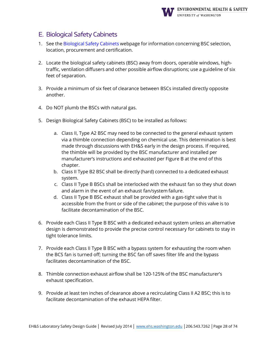

# E. Biological Safety Cabinets

- 1. See the [Biological](http://www.ehs.washington.edu/biological/biological-safety-cabinets) Safety Cabinets webpage for information concerning BSC selection, location, procurement and certification.
- 2. Locate the biological safety cabinets (BSC) away from doors, operable windows, hightraffic, ventilation diffusers and other possible airflow disruptions; use a guideline of six feet of separation.
- 3. Provide a minimum of six feet of clearance between BSCs installed directly opposite another.
- 4. Do NOT plumb the BSCs with natural gas.
- 5. Design Biological Safety Cabinets (BSC) to be installed as follows:
	- a. Class II, Type A2 BSC may need to be connected to the general exhaust system via a thimble connection depending on chemical use. This determination is best made through discussions with EH&S early in the design process. If required, the thimble will be provided by the BSC manufacturer and installed per manufacturer's instructions and exhausted per Figure B at the end of this chapter.
	- b. Class II Type B2 BSC shall be directly (hard) connected to a dedicated exhaust system.
	- c. Class II Type B BSCs shall be interlocked with the exhaust fan so they shut down and alarm in the event of an exhaust fan/system failure.
	- d. Class II Type B BSC exhaust shall be provided with a gas-tight valve that is accessible from the front or side of the cabinet; the purpose of this valve is to facilitate decontamination of the BSC.
- 6. Provide each Class II Type B BSC with a dedicated exhaust system unless an alternative design is demonstrated to provide the precise control necessary for cabinets to stay in tight tolerance limits.
- 7. Provide each Class II Type B BSC with a bypass system for exhausting the room when the BCS fan is turned off; turning the BSC fan off saves filter life and the bypass facilitates decontamination of the BSC.
- 8. Thimble connection exhaust airflow shall be 120-125% of the BSC manufacturer's exhaust specification.
- 9. Provide at least ten inches of clearance above a recirculating Class II A2 BSC; this is to facilitate decontamination of the exhaust HEPA filter.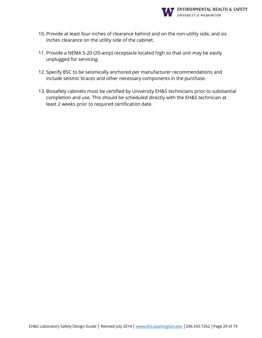

- 10. Provide at least four inches of clearance behind and on the non-utility side, and six inches clearance on the utility side of the cabinet.
- 11. Provide a NEMA 5-20 (20-amp) receptacle located high so that unit may be easily unplugged for servicing.
- 12. Specify BSC to be seismically anchored per manufacturer recommendations and include seismic braces and other necessary components in the purchase.
- 13. Biosafety cabinets must be certified by University EH&S technicians prior to substantial completion and use. This should be scheduled directly with the EH&S technician at least 2 weeks prior to required certification date.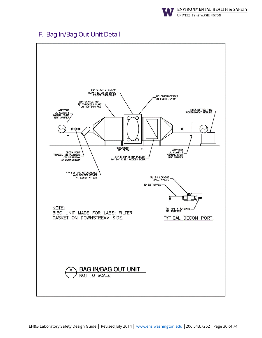

# F. Bag In/Bag Out Unit Detail

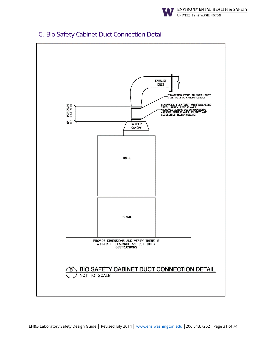

# G. Bio Safety Cabinet Duct Connection Detail

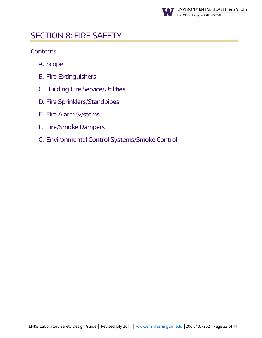

# <span id="page-31-0"></span>SECTION 8: FIRE SAFETY

- A. Scope
- B. Fire Extinguishers
- C. Building Fire Service/Utilities
- D. Fire Sprinklers/Standpipes
- E. Fire Alarm Systems
- F. Fire/Smoke Dampers
- G. Environmental Control Systems/Smoke Control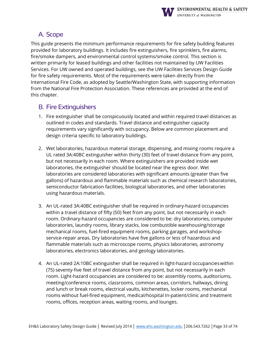

# A. Scope

This guide presents the minimum performance requirements for fire safety building features provided for laboratory buildings. It includes fire extinguishers, fire sprinklers, fire alarms, fire/smoke dampers, and environmental control systems/smoke control. This section is written primarily for leased buildings and other facilities not maintained by UW Facilities Services. For UW owned and operated buildings, see the UW Facilities Services Design Guide for fire safety requirements. Most of the requirements were taken directly from the International Fire Code, as adopted by Seattle/Washington State, with supporting information from the National Fire Protection Association. These references are provided at the end of this chapter.

#### B. Fire Extinguishers

- 1. Fire extinguisher shall be conspicuously located and within required travel distances as outlined in codes and standards. Travel distance and extinguisher capacity requirements vary significantly with occupancy. Below are common placement and design criteria specific to laboratory buildings.
- 2. Wet laboratories, hazardous material storage, dispensing, and mixing rooms require a UL rated 3A:40BC extinguisher within thirty (30) feet of travel distance from any point, but not necessarily in each room. Where extinguishers are provided inside wet laboratories, the extinguisher should be located near the egress door. Wet laboratories are considered laboratories with significant amounts (greater than five gallons) of hazardous and flammable materials such as chemical research laboratories, semiconductor fabrication facilities, biological laboratories, and other laboratories using hazardous materials.
- 3. An UL-rated 3A:40BC extinguisher shall be required in ordinary-hazard occupancies within a travel distance of fifty (50) feet from any point, but not necessarily in each room. Ordinary-hazard occupancies are considered to be: dry laboratories, computer laboratories, laundry rooms, library stacks, low combustible warehousing/storage mechanical rooms, fuel-fired equipment rooms, parking garages, and workshopservice-repair areas. Dry laboratories have five gallons or less of hazardous and flammable materials such as microscope rooms, physics laboratories, astronomy laboratories, electronics laboratories, and geology laboratories.
- 4. An UL-rated 2A:10BC extinguisher shall be required in light-hazard occupancieswithin (75) seventy-five feet of travel distance from any point, but not necessarily in each room. Light-hazard occupancies are considered to be: assembly rooms, auditoriums, meeting/conference rooms, classrooms, common areas, corridors, hallways, dining and lunch or break rooms, electrical vaults, kitchenettes, locker rooms, mechanical rooms without fuel-fired equipment, medical/hospital In-patient/clinic and treatment rooms, offices, reception areas, waiting rooms, and lounges.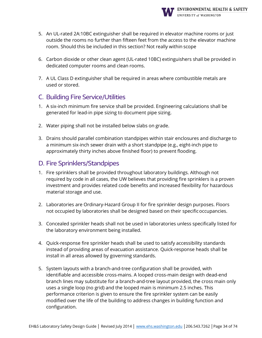

- 5. An UL-rated 2A:10BC extinguisher shall be required in elevator machine rooms or just outside the rooms no further than fifteen feet from the access to the elevator machine room. Should this be included in this section? Not really within scope
- 6. Carbon dioxide or other clean agent (UL-rated 10BC) extinguishers shall be provided in dedicated computer rooms and clean rooms.
- 7. A UL Class D extinguisher shall be required in areas where combustible metals are used or stored.

# C. Building Fire Service/Utilities

- 1. A six-inch minimum fire service shall be provided. Engineering calculations shall be generated for lead-in pipe sizing to document pipe sizing.
- 2. Water piping shall not be installed below slabs on grade.
- 3. Drains should parallel combination standpipes within stair enclosures and discharge to a minimum six-inch sewer drain with a short standpipe (e.g., eight-inch pipe to approximately thirty inches above finished floor) to prevent flooding.

#### D. Fire Sprinklers/Standpipes

- 1. Fire sprinklers shall be provided throughout laboratory buildings. Although not required by code in all cases, the UW believes that providing fire sprinklers is a proven investment and provides related code benefits and increased flexibility for hazardous material storage and use.
- 2. Laboratories are Ordinary-Hazard Group II for fire sprinkler design purposes. Floors not occupied by laboratories shall be designed based on their specificoccupancies.
- 3. Concealed sprinkler heads shall not be used in laboratories unless specifically listed for the laboratory environment being installed.
- 4. Quick-response fire sprinkler heads shall be used to satisfy accessibility standards instead of providing areas of evacuation assistance. Quick-response heads shall be install in all areas allowed by governing standards.
- 5. System layouts with a branch-and-tree configuration shall be provided, with identifiable and accessible cross-mains. A looped cross-main design with dead-end branch lines may substitute for a branch-and-tree layout provided, the cross main only uses a single loop (no grid) and the looped main is minimum 2.5 inches. This performance criterion is given to ensure the fire sprinkler system can be easily modified over the life of the building to address changes in building function and configuration.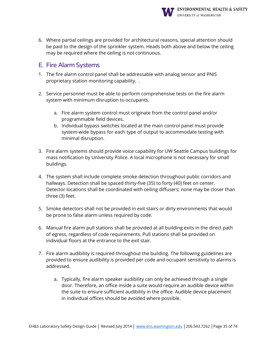

6. Where partial ceilings are provided for architectural reasons, special attention should be paid to the design of the sprinkler system. Heads both above and below the ceiling may be required where the ceiling is not continuous.

# E. Fire Alarm Systems

- 1. The fire alarm control panel shall be addressable with analog sensor and PNIS proprietary station monitoring capability. .
- 2. Service personnel must be able to perform comprehensive tests on the fire alarm system with minimum disruption to occupants.
	- a. Fire alarm system control must originate from the control panel and/or programmable field devices.
	- b. Individual bypass switches located at the main control panel must provide system-wide bypass for each type of output to accommodate testing with minimal disruption.
- 3. Fire alarm systems should provide voice capability for UW Seattle Campus buildings for mass notification by University Police. A local microphone is not necessary for small buildings.
- 4. The system shall include complete smoke detection throughout public corridors and hallways. Detection shall be spaced thirty-five (35) to forty (40) feet on center. Detector locations shall be coordinated with ceiling diffusers; none may be closer than three (3) feet.
- 5. Smoke detectors shall not be provided in exit stairs or dirty environments that would be prone to false alarm unless required by code.
- 6. Manual fire alarm pull stations shall be provided at all building exits in the direct path of egress, regardless of code requirements. Pull stations shall be provided on individual floors at the entrance to the exit stair.
- 7. Fire alarm audibility is required throughout the building. The following guidelines are provided to ensure audibility is provided per code and occupant sensitivity to alarms is addressed.
	- a. Typically, fire alarm speaker audibility can only be achieved through a single door. Therefore, an office inside a suite would require an audible device within the suite to ensure sufficient audibility in the office. Audible device placement in individual offices should be avoided where possible.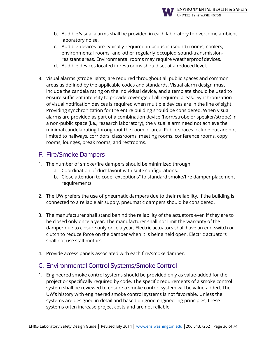

- b. Audible/visual alarms shall be provided in each laboratory to overcome ambient laboratory noise.
- c. Audible devices are typically required in acoustic (sound) rooms, coolers, environmental rooms, and other regularly occupied sound-transmissionresistant areas. Environmental rooms may require weatherproofdevices.
- d. Audible devices located in restrooms should set at a reduced level.
- 8. Visual alarms (strobe lights) are required throughout all public spaces and common areas as defined by the applicable codes and standards. Visual alarm design must include the candela rating on the individual device, and a template should be used to ensure sufficient intensity to provide coverage of all required areas. Synchronization of visual notification devices is required when multiple devices are in the line of sight. Providing synchronization for the entire building should be considered. When visual alarms are provided as part of a combination device (horn/strobe or speaker/strobe) in a non-public space (i.e., research laboratory), the visual alarm need not achieve the minimal candela rating throughout the room or area. Public spaces include but are not limited to hallways, corridors, classrooms, meeting rooms, conference rooms, copy rooms, lounges, break rooms, and restrooms.

# F. Fire/Smoke Dampers

- 1. The number of smoke/fire dampers should be minimized through:
	- a. Coordination of duct layout with suite configurations.
	- b. Close attention to code "exceptions" to standard smoke/fire damper placement requirements.
- 2. The UW prefers the use of pneumatic dampers due to their reliability. If the building is connected to a reliable air supply, pneumatic dampers should be considered.
- 3. The manufacturer shall stand behind the reliability of the actuators even if they are to be closed only once a year. The manufacturer shall not limit the warranty of the damper due to closure only once a year. Electric actuators shall have an end-switch or clutch to reduce force on the damper when it is being held open. Electric actuators shall not use stall-motors.
- 4. Provide access panels associated with each fire/smoke damper.

# G. Environmental Control Systems/Smoke Control

1. Engineered smoke control systems should be provided only as value-added for the project or specifically required by code. The specific requirements of a smoke control system shall be reviewed to ensure a smoke control system will be value-added. The UW's history with engineered smoke control systems is not favorable. Unless the systems are designed in detail and based on good engineering principles, these systems often increase project costs and are not reliable.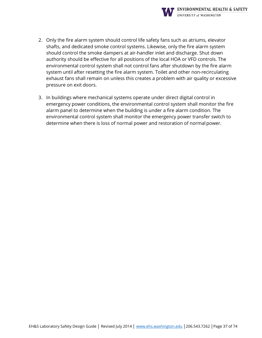

- 2. Only the fire alarm system should control life safety fans such as atriums, elevator shafts, and dedicated smoke control systems. Likewise, only the fire alarm system should control the smoke dampers at air-handler inlet and discharge. Shut down authority should be effective for all positions of the local HOA or VFD controls. The environmental control system shall not control fans after shutdown by the fire alarm system until after resetting the fire alarm system. Toilet and other non-recirculating exhaust fans shall remain on unless this creates a problem with air quality or excessive pressure on exit doors.
- 3. In buildings where mechanical systems operate under direct digital control in emergency power conditions, the environmental control system shall monitor the fire alarm panel to determine when the building is under a fire alarm condition. The environmental control system shall monitor the emergency power transfer switch to determine when there is loss of normal power and restoration of normal power.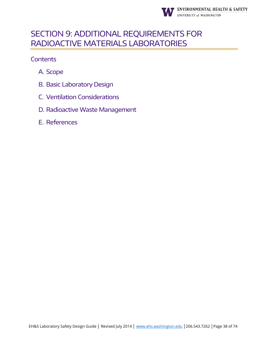

# <span id="page-37-0"></span>SECTION 9: ADDITIONAL REQUIREMENTS FOR RADIOACTIVE MATERIALS LABORATORIES

- A. Scope
- B. Basic Laboratory Design
- C. Ventilation Considerations
- D. Radioactive Waste Management
- E. References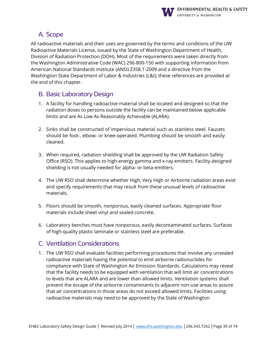

# A. Scope

All radioactive materials and their uses are governed by the terms and conditions of the UW Radioactive Materials License, issued by the State of Washington Department of Health, Division of Radiation Protection (DOH). Most of the requirements were taken directly from the Washington Administrative Code (WAC) 296-800-150 with supporting information from American National Standards Institute (ANSI) Z358.1-2009 and a directive from the Washington State Department of Labor & Industries (L&I); these references are provided at the end of this chapter.

#### B. Basic Laboratory Design

- 1. A facility for handling radioactive material shall be located and designed so that the radiation doses to persons outside the facility can be maintained below applicable limits and are As Low As Reasonably Achievable (ALARA).
- 2. Sinks shall be constructed of impervious material such as stainless steel. Faucets should be foot-, elbow- or knee-operated. Plumbing should be smooth and easily cleaned.
- 3. When required, radiation shielding shall be approved by the UW Radiation Safety Office (RSO). This applies to high-energy gamma and x-ray emitters. Facility-designed shielding is not usually needed for alpha- or beta-emitters.
- 4. The UW RSO shall determine whether High, Very High or Airborne radiation areas exist and specify requirements that may result from these unusual levels of radioactive materials.
- 5. Floors should be smooth, nonporous, easily cleaned surfaces. Appropriate floor materials include sheet vinyl and sealed concrete.
- 6. Laboratory benches must have nonporous, easily decontaminated surfaces. Surfaces of high-quality plastic laminate or stainless steel are preferable.

# C. Ventilation Considerations

1. The UW RSO shall evaluate facilities performing procedures that involve any unsealed radioactive materials having the potential to emit airborne radionuclides for compliance with State of Washington Air Emission Standards. Calculations may reveal that the facility needs to be equipped with ventilation that will limit air concentrations to levels that are ALARA and are lower than allowed limits. Ventilation systems shall prevent the escape of the airborne contaminants to adjacent non-use areas to assure that air concentrations in those areas do not exceed allowed limits. Facilities using radioactive materials may need to be approved by the State of Washington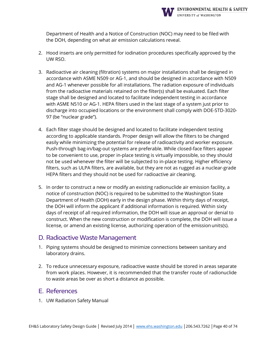

Department of Health and a Notice of Construction (NOC) may need to be filed with the DOH, depending on what air emission calculations reveal.

- 2. Hood inserts are only permitted for iodination procedures specifically approved by the UW RSO.
- 3. Radioactive air cleaning (filtration) systems on major installations shall be designed in accordance with ASME N509 or AG-1, and should be designed in accordance with N509 and AG-1 whenever possible for all installations. The radiation exposure of individuals from the radioactive materials retained on the filter(s) shall be evaluated. Each filter stage shall be designed and located to facilitate independent testing in accordance with ASME N510 or AG-1. HEPA filters used in the last stage of a system just prior to discharge into occupied locations or the environment shall comply with DOE-STD-3020- 97 (be "nuclear grade").
- 4. Each filter stage should be designed and located to facilitate independent testing according to applicable standards. Proper design will allow the filters to be changed easily while minimizing the potential for release of radioactivity and worker exposure. Push-through bag-in/bag-out systems are preferable. While closed-face filters appear to be convenient to use, proper in-place testing is virtually impossible, so they should not be used whenever the filter will be subjected to in-place testing. Higher efficiency filters, such as ULPA filters, are available, but they are not as rugged as a nuclear-grade HEPA filters and they should not be used for radioactive air cleaning.
- 5. In order to construct a new or modify an existing radionuclide air emission facility, a notice of construction (NOC) is required to be submitted to the Washington State Department of Health (DOH) early in the design phase. Within thirty days of receipt, the DOH will inform the applicant if additional information is required. Within sixty days of receipt of all required information, the DOH will issue an approval or denial to construct. When the new construction or modification is complete, the DOH will issue a license, or amend an existing license, authorizing operation of the emissionunits(s).

#### D. Radioactive Waste Management

- 1. Piping systems should be designed to minimize connections between sanitary and laboratory drains.
- 2. To reduce unnecessary exposure, radioactive waste should be stored in areas separate from work places. However, it is recommended that the transfer route of radionuclide to waste areas be over as short a distance as possible.

#### E. References

1. UW Radiation Safety Manual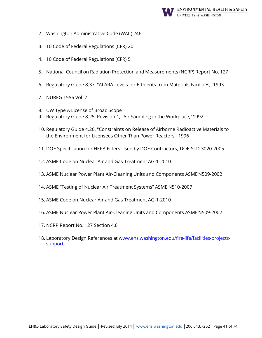

- 2. Washington Administrative Code (WAC) 246
- 3. 10 Code of Federal Regulations (CFR) 20
- 4. 10 Code of Federal Regulations (CFR) 51
- 5. National Council on Radiation Protection and Measurements (NCRP) Report No. 127
- 6. Regulatory Guide 8.37, "ALARA Levels for Effluents from Materials Facilities,"1993
- 7. NUREG 1556 Vol. 7
- 8. UW Type A License of Broad Scope
- 9. Regulatory Guide 8.25, Revision 1, "Air Sampling in the Workplace,"1992
- 10. Regulatory Guide 4.20, "Constraints on Release of Airborne Radioactive Materials to the Environment for Licensees Other Than Power Reactors," 1996
- 11. DOE Specification for HEPA Filters Used by DOE Contractors, DOE-STD-3020-2005
- 12. ASME Code on Nuclear Air and Gas Treatment AG-1-2010
- 13. ASME Nuclear Power Plant Air-Cleaning Units and Components ASMEN509-2002
- 14. ASME "Testing of Nuclear Air Treatment Systems" ASME N510-2007
- 15. ASME Code on Nuclear Air and Gas Treatment AG-1-2010
- 16. ASME Nuclear Power Plant Air-Cleaning Units and Components ASMEN509-2002
- 17. NCRP Report No. 127 Section 4.6
- 18. [Laboratory Design References at www.ehs.washington.edu/fire-life/facilities-projects](http://www.ehs.washington.edu/fire-life/facilities-projects-support)[support.](http://www.ehs.washington.edu/fire-life/facilities-projects-support)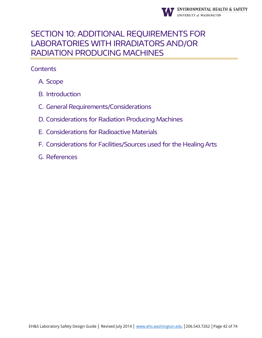

# <span id="page-41-0"></span>SECTION 10: ADDITIONAL REQUIREMENTS FOR LABORATORIES WITH IRRADIATORS AND/OR RADIATION PRODUCING MACHINES

- A. Scope
- B. Introduction
- C. General Requirements/Considerations
- D. Considerations for Radiation Producing Machines
- E. Considerations for Radioactive Materials
- F. Considerations for Facilities/Sources used for the Healing Arts
- G. References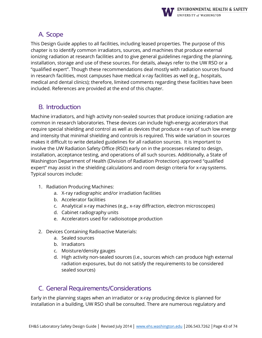

# A. Scope

This Design Guide applies to all facilities, including leased properties. The purpose of this chapter is to identify common irradiators, sources, and machines that produce external ionizing radiation at research facilities and to give general guidelines regarding the planning, installation, storage and use of these sources. For details, always refer to the UW RSO or a "qualified expert". Though these recommendations deal mostly with radiation sources found in research facilities, most campuses have medical x-ray facilities as well (e.g., hospitals, medical and dental clinics); therefore, limited comments regarding these facilities have been included. References are provided at the end of this chapter.

# B. Introduction

Machine irradiators, and high activity non-sealed sources that produce ionizing radiation are common in research laboratories. These devices can include high-energy accelerators that require special shielding and control as well as devices that produce x-rays of such low energy and intensity that minimal shielding and controls is required. This wide variation in sources makes it difficult to write detailed guidelines for all radiation sources. It is important to involve the UW Radiation Safety Office (RSO) early on in the processes related to design, installation, acceptance testing, and operations of all such sources. Additionally, a State of Washington Department of Health (Division of Radiation Protection) approved "qualified expert" may assist in the shielding calculations and room design criteria for x-ray systems. Typical sources include:

- 1. Radiation Producing Machines:
	- a. X-ray radiographic and/or irradiation facilities
	- b. Accelerator facilities
	- c. Analytical x-ray machines (e.g., x-ray diffraction, electron microscopes)
	- d. Cabinet radiography units
	- e. Accelerators used for radioisotope production
- 2. Devices Containing Radioactive Materials:
	- a. Sealed sources
	- b. Irradiators
	- c. Moisture/density gauges
	- d. High activity non-sealed sources (i.e., sources which can produce high external radiation exposures, but do not satisfy the requirements to be considered sealed sources)

# C. General Requirements/Considerations

Early in the planning stages when an irradiator or x-ray producing device is planned for installation in a building, UW RSO shall be consulted. There are numerous regulatory and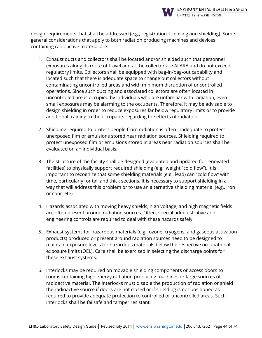![](_page_43_Picture_0.jpeg)

design requirements that shall be addressed (e.g., registration, licensing and shielding). Some general considerations that apply to both radiation producing machines and devices containing radioactive material are:

- 1. Exhaust ducts and collectors shall be located and/or shielded such that personnel exposures along its route of travel and at the collector are ALARA and do not exceed regulatory limits. Collectors shall be equipped with bag-in/bag-out capability and located such that there is adequate space to change out collectors without contaminating uncontrolled areas and with minimum disruption of uncontrolled operations. Since such ducting and associated collectors are often located in uncontrolled areas occupied by individuals who are unfamiliar with radiation, even small exposures may be alarming to the occupants. Therefore, it may be advisable to design shielding in order to reduce exposures far below regulatory limits or to provide additional training to the occupants regarding the effects of radiation.
- 2. Shielding required to protect people from radiation is often inadequate to protect unexposed film or emulsions stored near radiation sources. Shielding required to protect unexposed film or emulsions stored in areas near radiation sources shall be evaluated on an individual basis.
- 3. The structure of the facility shall be designed (evaluated and updated for renovated facilities) to physically support required shielding (e.g., weight "cold flow"). It is important to recognize that some shielding materials (e.g., lead) can "cold flow" with time, particularly for tall and thick sections. It is necessary to support shielding in a way that will address this problem or to use an alternative shielding material (e.g., iron or concrete).
- 4. Hazards associated with moving heavy shields, high voltage, and high magnetic fields are often present around radiation sources. Often, special administrative and engineering controls are required to deal with these hazards safely.
- 5. Exhaust systems for hazardous materials (e.g., ozone, cryogens, and gaseous activation products) produced or present around radiation sources need to be designed to maintain exposure levels for hazardous materials below the respective occupational exposure limits (OEL). Care shall be exercised in selecting the discharge points for these exhaust systems.
- 6. Interlocks may be required on movable shielding components or access doors to rooms containing high energy radiation producing machines or large sources of radioactive material. The interlocks must disable the production of radiation or shield the radioactive source if doors are not closed or if shielding is not positioned as required to provide adequate protection to controlled or uncontrolled areas. Such interlocks shall be failsafe and tamper resistant.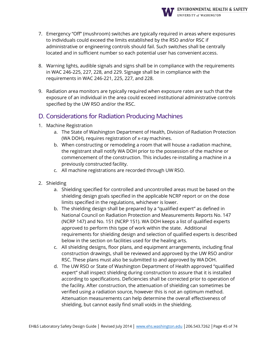![](_page_44_Picture_0.jpeg)

- 7. Emergency "Off" (mushroom) switches are typically required in areas where exposures to individuals could exceed the limits established by the RSO and/or RSC if administrative or engineering controls should fail. Such switches shall be centrally located and in sufficient number so each potential user has convenient access.
- 8. Warning lights, audible signals and signs shall be in compliance with the requirements in WAC 246-225, 227, 228, and 229. Signage shall be in compliance with the requirements in WAC 246-221, 225, 227, and 228.
- 9. Radiation area monitors are typically required when exposure rates are such that the exposure of an individual in the area could exceed institutional administrative controls specified by the UW RSO and/or the RSC.

# D. Considerations for Radiation Producing Machines

- 1. Machine Registration
	- a. The State of Washington Department of Health, Division of Radiation Protection (WA DOH), requires registration of x-ray machines.
	- b. When constructing or remodeling a room that will house a radiation machine, the registrant shall notify WA DOH prior to the possession of the machine or commencement of the construction. This includes re-installing a machine in a previously constructed facility.
	- c. All machine registrations are recorded through UW RSO.
- 2. Shielding
	- a. Shielding specified for controlled and uncontrolled areas must be based on the shielding design goals specified in the applicable NCRP report or on the dose limits specified in the regulations, whichever is lower.
	- b. The shielding design shall be prepared by a "qualified expert" as defined in National Council on Radiation Protection and Measurements Reports No. 147 (NCRP 147) and No. 151 (NCRP 151). WA DOH keeps a list of qualified experts approved to perform this type of work within the state. Additional requirements for shielding design and selection of qualified experts is described below in the section on facilities used for the healing arts.
	- c. All shielding designs, floor plans, and equipment arrangements, including final construction drawings, shall be reviewed and approved by the UW RSO and/or RSC. These plans must also be submitted to and approved by WA DOH.
	- d. The UW RSO or State of Washington Department of Health approved "qualified expert" shall inspect shielding during construction to assure that it is installed according to specifications. Deficiencies shall be corrected prior to operation of the facility. After construction, the attenuation of shielding can sometimes be verified using a radiation source, however this is not an optimum method. Attenuation measurements can help determine the overall effectiveness of shielding, but cannot easily find small voids in the shielding.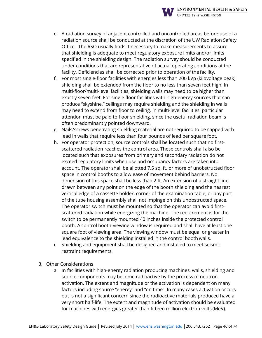![](_page_45_Picture_0.jpeg)

- e. A radiation survey of adjacent controlled and uncontrolled areas before use of a radiation source shall be conducted at the discretion of the UW Radiation Safety Office. The RSO usually finds it necessary to make measurements to assure that shielding is adequate to meet regulatory exposure limits and/or limits specified in the shielding design. The radiation survey should be conducted under conditions that are representative of actual operating conditions at the facility. Deficiencies shall be corrected prior to operation of the facility.
- f. For most single-floor facilities with energies less than 200 kVp (kilovoltage peak), shielding shall be extended from the floor to no less than seven feet high. In multi-floor/multi-level facilities, shielding walls may need to be higher than exactly seven feet. For single floor facilities with high-energy sources that can produce "skyshine," ceilings may require shielding and the shielding in walls may need to extend from floor to ceiling. In multi-level facilities, particular attention must be paid to floor shielding, since the useful radiation beam is often predominantly pointed downward.
- g. Nails/screws penetrating shielding material are not required to be capped with lead in walls that require less than four pounds of lead per square foot.
- h. For operator protection, source controls shall be located such that no firstscattered radiation reaches the control area. These controls shall also be located such that exposures from primary and secondary radiation do not exceed regulatory limits when use and occupancy factors are taken into account. The operator shall be allotted 7.5 sq. ft. or more of unobstructed floor space in control booths to allow ease of movement behind barriers. No dimension of this space shall be less than 2 ft. An extension of a straight line drawn between any point on the edge of the booth shielding and the nearest vertical edge of a cassette holder, corner of the examination table, or any part of the tube housing assembly shall not impinge on this unobstructed space. The operator switch must be mounted so that the operator can avoid firstscattered radiation while energizing the machine. The requirement is for the switch to be permanently mounted 40 inches inside the protected control booth. A control booth-viewing window is required and shall have at least one square foot of viewing area. The viewing window must be equal or greater in lead equivalence to the shielding installed in the control booth walls.
- i. Shielding and equipment shall be designed and installed to meet seismic restraint requirements.
- 3. Other Considerations
	- a. In facilities with high-energy radiation producing machines, walls, shielding and source components may become radioactive by the process of neutron activation. The extent and magnitude or the activation is dependent on many factors including source "energy" and "on time". In many cases activation occurs but is not a significant concern since the radioactive materials produced have a very short half-life. The extent and magnitude of activation should be evaluated for machines with energies greater than fifteen million electron volts (MeV).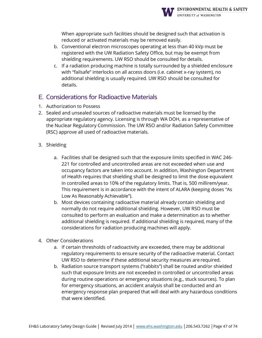![](_page_46_Picture_0.jpeg)

When appropriate such facilities should be designed such that activation is reduced or activated materials may be removed easily.

- b. Conventional electron microscopes operating at less than 40 kVp must be registered with the UW Radiation Safety Office, but may be exempt from shielding requirements. UW RSO should be consulted for details.
- c. If a radiation producing machine is totally surrounded by a shielded enclosure with "failsafe" interlocks on all access doors (i.e. cabinet x-ray system), no additional shielding is usually required. UW RSO should be consulted for details.

# E. Considerations for Radioactive Materials

- 1. Authorization to Possess
- 2. Sealed and unsealed sources of radioactive materials must be licensed by the appropriate regulatory agency. Licensing is through WA DOH, as a representative of the Nuclear Regulatory Commission. The UW RSO and/or Radiation Safety Committee (RSC) approve all used of radioactive materials.
- 3. Shielding
	- a. Facilities shall be designed such that the exposure limits specified in WAC 246- 221 for controlled and uncontrolled areas are not exceeded when use and occupancy factors are taken into account. In addition, Washington Department of Health requires that shielding shall be designed to limit the dose equivalent in controlled areas to 10% of the regulatory limits. That is, 500 millirem/year. This requirement is in accordance with the intent of ALARA (keeping doses "As Low As Reasonably Achievable").
	- b. Most devices containing radioactive material already contain shielding and normally do not require additional shielding. However, UW RSO must be consulted to perform an evaluation and make a determination as to whether additional shielding is required. If additional shielding is required, many of the considerations for radiation producing machines will apply.
- 4. Other Considerations
	- a. If certain thresholds of radioactivity are exceeded, there may be additional regulatory requirements to ensure security of the radioactive material. Contact UW RSO to determine if these additional security measures are required.
	- b. Radiation source transport systems ("rabbits") shall be routed and/or shielded such that exposure limits are not exceeded in controlled or uncontrolled areas during routine operations or emergency situations (e.g., stuck sources). To plan for emergency situations, an accident analysis shall be conducted and an emergency response plan prepared that will deal with any hazardous conditions that were identified.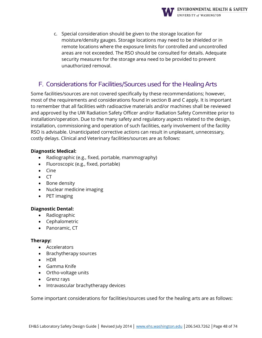![](_page_47_Picture_0.jpeg)

c. Special consideration should be given to the storage location for moisture/density gauges. Storage locations may need to be shielded or in remote locations where the exposure limits for controlled and uncontrolled areas are not exceeded. The RSO should be consulted for details. Adequate security measures for the storage area need to be provided to prevent unauthorized removal.

# F. Considerations for Facilities/Sources used for the Healing Arts

Some facilities/sources are not covered specifically by these recommendations; however, most of the requirements and considerations found in section B and C apply. It is important to remember that all facilities with radioactive materials and/or machines shall be reviewed and approved by the UW Radiation Safety Officer and/or Radiation Safety Committee prior to installation/operation. Due to the many safety and regulatory aspects related to the design, installation, commissioning and operation of such facilities, early involvement of the facility RSO is advisable. Unanticipated corrective actions can result in unpleasant, unnecessary, costly delays. Clinical and Veterinary facilities/sources are as follows:

#### **Diagnostic Medical:**

- Radiographic (e.g., fixed, portable, mammography)
- Fluoroscopic (e.g., fixed, portable)
- Cine
- CT
- Bone density
- Nuclear medicine imaging
- PET imaging

#### **Diagnostic Dental:**

- Radiographic
- Cephalometric
- Panoramic, CT

#### **Therapy:**

- Accelerators
- Brachytherapy sources
- HDR
- Gamma Knife
- Ortho-voltage units
- Grenz rays
- Intravascular brachytherapy devices

Some important considerations for facilities/sources used for the healing arts are as follows: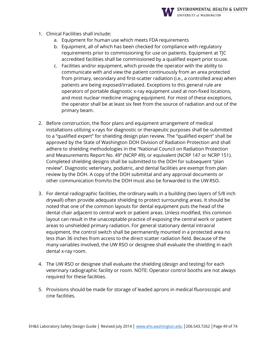![](_page_48_Picture_0.jpeg)

- 1. Clinical Facilities shall include:
	- a. Equipment for human use which meets FDA requirements
	- b. Equipment, all of which has been checked for compliance with regulatory requirements prior to commissioning for use on patients. Equipment at TJC accredited facilities shall be commissioned by a qualified expert prior touse.
	- c. Facilities and/or equipment, which provide the operator with the ability to communicate with and view the patient continuously from an area protected from primary, secondary and first-scatter radiation (i.e., a controlled area) when patients are being exposed/irradiated. Exceptions to this general rule are operators of portable diagnostic x-ray equipment used at non-fixed locations, and most nuclear medicine imaging equipment. For most of these exceptions, the operator shall be at least six feet from the source of radiation and out of the primary beam.
- 2. Before construction, the floor plans and equipment arrangement of medical installations utilizing x-rays for diagnostic or therapeutic purposes shall be submitted to a "qualified expert" for shielding design plan review. The "qualified expert" shall be approved by the State of Washington DOH Division of Radiation Protection and shall adhere to shielding methodologies in the "National Council on Radiation Protection and Measurements Report No. 49" (NCRP 49), or equivalent (NCRP 147 or NCRP 151). Completed shielding designs shall be submitted to the DOH for subsequent "plan review". Diagnostic veterinary, podiatric, and dental facilities are exempt from plan review by the DOH. A copy of the DOH submittal and any approval documents or other communication from/to the DOH must also be forwarded to the UW RSO.
- 3. For dental radiographic facilities, the ordinary walls in a building (two layers of 5/8 inch drywall) often provide adequate shielding to protect surrounding areas. It should be noted that one of the common layouts for dental equipment puts the head of the dental chair adjacent to central work or patient areas. Unless modified, this common layout can result in the unacceptable practice of exposing the central work or patient areas to unshielded primary radiation. For general stationary dental intraoral equipment, the control switch shall be permanently mounted in a protected area no less than 36 inches from access to the direct scatter radiation field. Because of the many variables involved, the UW RSO or designee shall evaluate the shielding in each dental x-ray room.
- 4. The UW RSO or designee shall evaluate the shielding (design and testing) for each veterinary radiographic facility or room. NOTE: Operator control booths are not always required for these facilities.
- 5. Provisions should be made for storage of leaded aprons in medical fluoroscopic and cine facilities.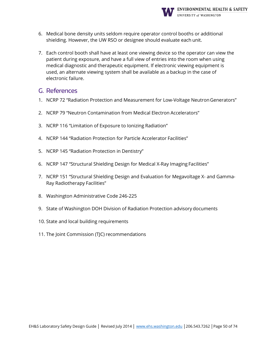![](_page_49_Picture_0.jpeg)

- 6. Medical bone density units seldom require operator control booths or additional shielding. However, the UW RSO or designee should evaluate each unit.
- 7. Each control booth shall have at least one viewing device so the operator can view the patient during exposure, and have a full view of entries into the room when using medical diagnostic and therapeutic equipment. If electronic viewing equipment is used, an alternate viewing system shall be available as a backup in the case of electronic failure.

#### G. References

- 1. NCRP 72 "Radiation Protection and Measurement for Low-Voltage NeutronGenerators"
- 2. NCRP 79 "Neutron Contamination from Medical Electron Accelerators"
- 3. NCRP 116 "Limitation of Exposure to Ionizing Radiation"
- 4. NCRP 144 "Radiation Protection for Particle Accelerator Facilities"
- 5. NCRP 145 "Radiation Protection in Dentistry"
- 6. NCRP 147 "Structural Shielding Design for Medical X-Ray Imaging Facilities"
- 7. NCRP 151 "Structural Shielding Design and Evaluation for Megavoltage X- and Gamma-Ray Radiotherapy Facilities"
- 8. Washington Administrative Code 246-225
- 9. State of Washington DOH Division of Radiation Protection advisory documents
- 10. State and local building requirements
- 11. The Joint Commission (TJC) recommendations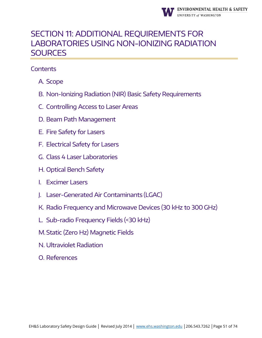![](_page_50_Picture_0.jpeg)

# <span id="page-50-0"></span>SECTION 11: ADDITIONAL REQUIREMENTS FOR LABORATORIES USING NON-IONIZING RADIATION **SOURCES**

- A. Scope
- B. Non-Ionizing Radiation (NIR) Basic Safety Requirements
- C. Controlling Access to Laser Areas
- D. Beam Path Management
- E. Fire Safety for Lasers
- F. Electrical Safety for Lasers
- G. Class 4 Laser Laboratories
- H. Optical Bench Safety
- I. Excimer Lasers
- J. Laser-Generated Air Contaminants (LGAC)
- K. Radio Frequency and Microwave Devices (30 kHz to 300 GHz)
- L. Sub-radio Frequency Fields (<30 kHz)
- M.Static (Zero Hz) Magnetic Fields
- N. Ultraviolet Radiation
- O. References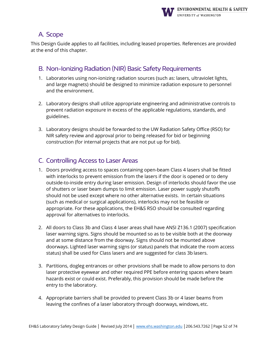![](_page_51_Picture_0.jpeg)

# A. Scope

This Design Guide applies to all facilities, including leased properties. References are provided at the end of this chapter.

# B. Non-Ionizing Radiation (NIR) Basic Safety Requirements

- 1. Laboratories using non-ionizing radiation sources (such as: lasers, ultraviolet lights, and large magnets) should be designed to minimize radiation exposure to personnel and the environment.
- 2. Laboratory designs shall utilize appropriate engineering and administrative controls to prevent radiation exposure in excess of the applicable regulations, standards, and guidelines.
- 3. Laboratory designs should be forwarded to the UW Radiation Safety Office (RSO) for NIR safety review and approval prior to being released for bid or beginning construction (for internal projects that are not put up for bid).

# C. Controlling Access to Laser Areas

- 1. Doors providing access to spaces containing open-beam Class 4 lasers shall be fitted with interlocks to prevent emission from the lasers if the door is opened or to deny outside-to-inside entry during laser emission. Design of interlocks should favor the use of shutters or laser beam dumps to limit emission. Laser power supply shutoffs should not be used except where no other alternative exists. In certain situations (such as medical or surgical applications), interlocks may not be feasible or appropriate. For these applications, the EH&S RSO should be consulted regarding approval for alternatives to interlocks.
- 2. All doors to Class 3b and Class 4 laser areas shall have ANSI Z136.1 (2007) specification laser warning signs. Signs should be mounted so as to be visible both at the doorway and at some distance from the doorway. Signs should not be mounted above doorways. Lighted laser warning signs (or status) panels that indicate the room access status) shall be used for Class lasers and are suggested for class 3b lasers.
- 3. Partitions, dogleg entrances or other provisions shall be made to allow persons to don laser protective eyewear and other required PPE before entering spaces where beam hazards exist or could exist. Preferably, this provision should be made before the entry to the laboratory.
- 4. Appropriate barriers shall be provided to prevent Class 3b or 4 laser beams from leaving the confines of a laser laboratory through doorways, windows, etc.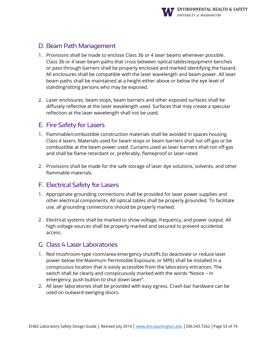![](_page_52_Picture_0.jpeg)

### D. Beam Path Management

- 1. Provisions shall be made to enclose Class 3b or 4 laser beams whenever possible. Class 3b or 4 laser beam paths that cross between optical tables/equipment benches or pass through barriers shall be properly enclosed and marked identifying the hazard. All enclosures shall be compatible with the laser wavelength and beam power. All laser beam paths shall be maintained at a height either above or below the eye level of standing/sitting persons who may be exposed.
- 2. Laser enclosures, beam stops, beam barriers and other exposed surfaces shall be diffusely reflective at the laser wavelength used. Surfaces that may create a specular reflection at the laser wavelength shall not be used.

# E. Fire Safety for Lasers

- 1. Flammable/combustible construction materials shall be avoided in spaces housing Class 4 lasers. Materials used for beam stops or beam barriers shall not off-gas or be combustible at the beam power used. Curtains used as laser barriers shall not off-gas and shall be flame-retardant or, preferably, flameproof or laser-rated.
- 2. Provisions shall be made for the safe storage of laser dye solutions, solvents, and other flammable materials.

# F. Electrical Safety for Lasers

- 1. Appropriate grounding connections shall be provided for laser power supplies and other electrical components. All optical tables shall be properly grounded. To facilitate use, all grounding connections should be properly marked.
- 2. Electrical systems shall be marked to show voltage, frequency, and power output. All high voltage sources shall be properly marked and secured to prevent accidental access.

# G. Class 4 Laser Laboratories

- 1. Red mushroom-type room/area emergency shutoffs (to deactivate or reduce laser power below the Maximum Permissible Exposure, or MPE) shall be installed in a conspicuous location that is easily accessible from the laboratory entrances. The switch shall be clearly and conspicuously marked with the words "Notice – In emergency, push button to shut down laser".
- 2. All laser laboratories shall be provided with easy egress. Crash-bar hardware can be used on outward-swinging doors.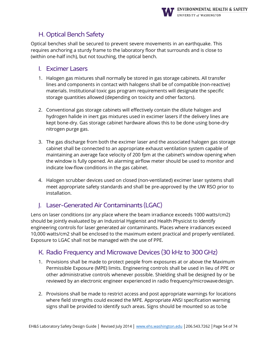![](_page_53_Picture_0.jpeg)

# H. Optical Bench Safety

Optical benches shall be secured to prevent severe movements in an earthquake. This requires anchoring a sturdy frame to the laboratory floor that surrounds and is close to (within one-half inch), but not touching, the optical bench.

#### I. Excimer Lasers

- 1. Halogen gas mixtures shall normally be stored in gas storage cabinets. All transfer lines and components in contact with halogens shall be of compatible (non-reactive) materials. Institutional toxic gas program requirements will designate the specific storage quantities allowed (depending on toxicity and other factors).
- 2. Conventional gas storage cabinets will effectively contain the dilute halogen and hydrogen halide in inert gas mixtures used in excimer lasers if the delivery lines are kept bone-dry. Gas storage cabinet hardware allows this to be done using bone-dry nitrogen purge gas.
- 3. The gas discharge from both the excimer laser and the associated halogen gas storage cabinet shall be connected to an appropriate exhaust ventilation system capable of maintaining an average face velocity of 200 fpm at the cabinet's window opening when the window is fully opened. An alarming airflow meter should be used to monitor and indicate low-flow conditions in the gas cabinet.
- 4. Halogen scrubber devices used on closed (non-ventilated) excimer laser systems shall meet appropriate safety standards and shall be pre-approved by the UW RSO prior to installation.

# J. Laser-Generated Air Contaminants (LGAC)

Lens on laser conditions (or any place where the beam irradiance exceeds 1000 watts/cm2) should be jointly evaluated by an Industrial Hygienist and Health Physicist to identify engineering controls for laser generated air contaminants. Places where irradiances exceed 10,000 watts/cm2 shall be enclosed to the maximum extent practical and properly ventilated. Exposure to LGAC shall not be managed with the use of PPE.

# K. Radio Frequency and Microwave Devices (30 kHz to 300 GHz)

- 1. Provisions shall be made to protect people from exposures at or above the Maximum Permissible Exposure (MPE) limits. Engineering controls shall be used in lieu of PPE or other administrative controls whenever possible. Shielding shall be designed by or be reviewed by an electronic engineer experienced in radio frequency/microwavedesign.
- 2. Provisions shall be made to restrict access and post appropriate warnings for locations where field strengths could exceed the MPE. Appropriate ANSI specification warning signs shall be provided to identify such areas. Signs should be mounted so as tobe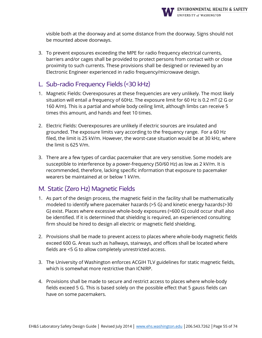![](_page_54_Picture_0.jpeg)

visible both at the doorway and at some distance from the doorway. Signs should not be mounted above doorways.

3. To prevent exposures exceeding the MPE for radio frequency electrical currents, barriers and/or cages shall be provided to protect persons from contact with or close proximity to such currents. These provisions shall be designed or reviewed by an Electronic Engineer experienced in radio frequency/microwave design.

# L. Sub-radio Frequency Fields (<30 kHz)

- 1. Magnetic Fields: Overexposures at these frequencies are very unlikely. The most likely situation will entail a frequency of 60Hz. The exposure limit for 60 Hz is 0.2 mT (2 G or 160 A/m). This is a partial and whole body ceiling limit, although limbs can receive 5 times this amount, and hands and feet 10 times.
- 2. Electric Fields: Overexposures are unlikely if electric sources are insulated and grounded. The exposure limits vary according to the frequency range. For a 60 Hz filed, the limit is 25 kV/m. However, the worst-case situation would be at 30 kHz, where the limit is 625 V/m.
- 3. There are a few types of cardiac pacemaker that are very sensitive. Some models are susceptible to interference by a power-frequency (50/60 Hz) as low as 2 kV/m. It is recommended, therefore, lacking specific information that exposure to pacemaker wearers be maintained at or below 1 kV/m.

# M. Static (Zero Hz) Magnetic Fields

- 1. As part of the design process, the magnetic field in the facility shall be mathematically modeled to identify where pacemaker hazards (>5 G) and kinetic energy hazards(>30 G) exist. Places where excessive whole-body exposures (>600 G) could occur shall also be identified. If it is determined that shielding is required, an experienced consulting firm should be hired to design all electric or magnetic field shielding.
- 2. Provisions shall be made to prevent access to places where whole-body magnetic fields exceed 600 G. Areas such as hallways, stairways, and offices shall be located where fields are <5 G to allow completely unrestricted access.
- 3. The University of Washington enforces ACGIH TLV guidelines for static magnetic fields, which is somewhat more restrictive than ICNIRP.
- 4. Provisions shall be made to secure and restrict access to places where whole-body fields exceed 5 G. This is based solely on the possible effect that 5 gauss fields can have on some pacemakers.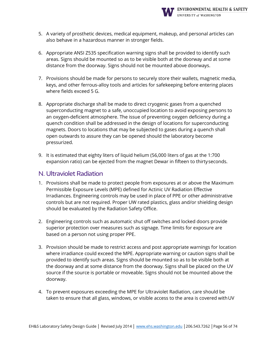![](_page_55_Picture_0.jpeg)

- 5. A variety of prosthetic devices, medical equipment, makeup, and personal articles can also behave in a hazardous manner in stronger fields.
- 6. Appropriate ANSI Z535 specification warning signs shall be provided to identify such areas. Signs should be mounted so as to be visible both at the doorway and at some distance from the doorway. Signs should not be mounted above doorways.
- 7. Provisions should be made for persons to securely store their wallets, magnetic media, keys, and other ferrous-alloy tools and articles for safekeeping before entering places where fields exceed 5 G.
- 8. Appropriate discharge shall be made to direct cryogenic gases from a quenched superconducting magnet to a safe, unoccupied location to avoid exposing persons to an oxygen-deficient atmosphere. The issue of preventing oxygen deficiency during a quench condition shall be addressed in the design of locations for superconducting magnets. Doors to locations that may be subjected to gases during a quench shall open outwards to assure they can be opened should the laboratory become pressurized.
- 9. It is estimated that eighty liters of liquid helium (56,000 liters of gas at the 1:700 expansion ratio) can be ejected from the magnet Dewar in fifteen to thirtyseconds.

#### N. Ultraviolet Radiation

- 1. Provisions shall be made to protect people from exposures at or above the Maximum Permissible Exposure Levels (MPE) defined for Actinic UV Radiation Effective Irradiances. Engineering controls may be used in place of PPE or other administrative controls but are not required. Proper UW rated plastics, glass and/or shielding design should be evaluated by the Radiation Safety Office.
- 2. Engineering controls such as automatic shut off switches and locked doors provide superior protection over measures such as signage. Time limits for exposure are based on a person not using proper PPE.
- 3. Provision should be made to restrict access and post appropriate warnings for location where irradiance could exceed the MPE. Appropriate warning or caution signs shall be provided to identify such areas. Signs should be mounted so as to be visible both at the doorway and at some distance from the doorway. Signs shall be placed on the UV source if the source is portable or moveable. Signs should not be mounted above the doorway.
- 4. To prevent exposures exceeding the MPE for Ultraviolet Radiation, care should be taken to ensure that all glass, windows, or visible access to the area is covered withUV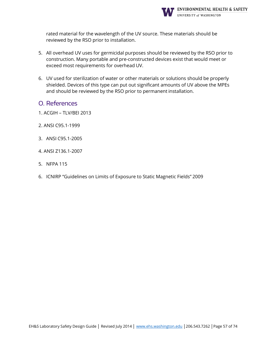![](_page_56_Picture_0.jpeg)

rated material for the wavelength of the UV source. These materials should be reviewed by the RSO prior to installation.

- 5. All overhead UV uses for germicidal purposes should be reviewed by the RSO prior to construction. Many portable and pre-constructed devices exist that would meet or exceed most requirements for overhead UV.
- 6. UV used for sterilization of water or other materials or solutions should be properly shielded. Devices of this type can put out significant amounts of UV above the MPEs and should be reviewed by the RSO prior to permanent installation.
- O. References
- 1. ACGIH TLV/BEI 2013
- 2. ANSI C95.1-1999
- 3. ANSI C95.1-2005
- 4. ANSI Z136.1-2007
- 5. NFPA 115
- 6. ICNIRP "Guidelines on Limits of Exposure to Static Magnetic Fields" 2009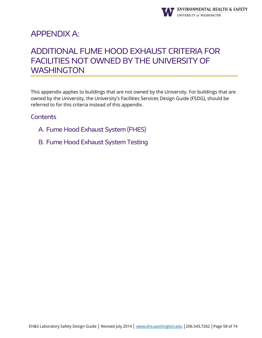![](_page_57_Picture_0.jpeg)

# <span id="page-57-0"></span>APPENDIX A:

# ADDITIONAL FUME HOOD EXHAUST CRITERIA FOR FACILITIES NOT OWNED BY THE UNIVERSITY OF **WASHINGTON**

This appendix applies to buildings that are not owned by the University. For buildings that are owned by the University, the University's Facilities Services Design Guide (FSDG), should be referred to for this criteria instead of this appendix.

- A. Fume Hood Exhaust System (FHES)
- B. Fume Hood Exhaust System Testing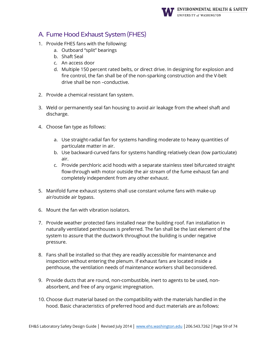![](_page_58_Picture_0.jpeg)

# A. Fume Hood Exhaust System (FHES)

- 1. Provide FHES fans with the following:
	- a. Outboard "split" bearings
	- b. Shaft Seal
	- c. An access door
	- d. Multiple 150 percent rated belts, or direct drive. In designing for explosion and fire control, the fan shall be of the non-sparking construction and the V-belt drive shall be non –conductive.
- 2. Provide a chemical resistant fan system.
- 3. Weld or permanently seal fan housing to avoid air leakage from the wheel shaft and discharge.
- 4. Choose fan type as follows:
	- a. Use straight-radial fan for systems handling moderate to heavy quantities of particulate matter in air.
	- b. Use backward-curved fans for systems handling relatively clean (low particulate) air.
	- c. Provide perchloric acid hoods with a separate stainless steel bifurcated straight flow-through with motor outside the air stream of the fume exhaust fan and completely independent from any other exhaust.
- 5. Manifold fume exhaust systems shall use constant volume fans with make-up air/outside air bypass.
- 6. Mount the fan with vibration isolators.
- 7. Provide weather protected fans installed near the building roof. Fan installation in naturally ventilated penthouses is preferred. The fan shall be the last element of the system to assure that the ductwork throughout the building is under negative pressure.
- 8. Fans shall be installed so that they are readily accessible for maintenance and inspection without entering the plenum. If exhaust fans are located inside a penthouse, the ventilation needs of maintenance workers shall beconsidered.
- 9. Provide ducts that are round, non-combustible, inert to agents to be used, nonabsorbent, and free of any organic impregnation.
- 10. Choose duct material based on the compatibility with the materials handled in the hood. Basic characteristics of preferred hood and duct materials are as follows: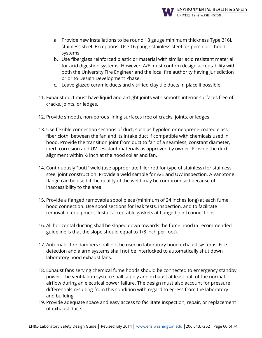![](_page_59_Picture_0.jpeg)

- a. Provide new installations to be round 18 gauge minimum thickness Type 316L stainless steel. Exceptions: Use 16 gauge stainless steel for perchloric hood systems.
- b. Use fiberglass reinforced plastic or material with similar acid resistant material for acid digestion systems. However, A/E must confirm design acceptability with both the University Fire Engineer and the local fire authority having jurisdiction prior to Design Development Phase.
- c. Leave glazed ceramic ducts and vitrified clay tile ducts in place if possible.
- 11. Exhaust duct must have liquid and airtight joints with smooth interior surfaces free of cracks, joints, or ledges.
- 12. Provide smooth, non-porous lining surfaces free of cracks, joints, or ledges.
- 13. Use flexible connection sections of duct, such as hypolon or neoprene-coated glass fiber cloth, between the fan and its intake duct if compatible with chemicals used in hood. Provide the transition joint from duct to fan of a seamless, constant diameter, inert, corrosion and UV-resistant materials as approved by owner. Provide the duct alignment within ½ inch at the hood collar and fan.
- 14. Continuously "butt" weld (use appropriate filler rod for type of stainless) for stainless steel joint construction. Provide a weld sample for A/E and UW inspection. A VanStone flange can be used if the quality of the weld may be compromised because of inaccessibility to the area.
- 15. Provide a flanged removable spool piece (minimum of 24 inches long) at each fume hood connection. Use spool sections for leak tests, inspection, and to facilitate removal of equipment. Install acceptable gaskets at flanged joint connections.
- 16. All horizontal ducting shall be sloped down towards the fume hood (a recommended guideline is that the slope should equal to 1/8 inch per foot).
- 17. Automatic fire dampers shall not be used in laboratory hood exhaust systems. Fire detection and alarm systems shall not be interlocked to automatically shut down laboratory hood exhaust fans.
- 18. Exhaust fans serving chemical fume hoods should be connected to emergency standby power. The ventilation system shall supply and exhaust at least half of the normal airflow during an electrical power failure. The design must also account for pressure differentials resulting from this condition with regard to egress from the laboratory and building.
- 19. Provide adequate space and easy access to facilitate inspection, repair, or replacement of exhaust ducts.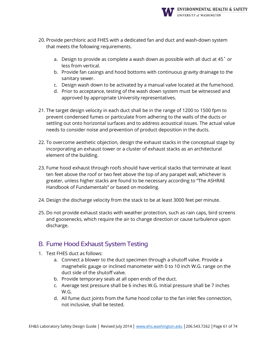![](_page_60_Picture_0.jpeg)

- 20. Provide perchloric acid FHES with a dedicated fan and duct and wash-down system that meets the following requirements.
	- a. Design to provide as complete a wash down as possible with all duct at 45˚ or less from vertical.
	- b. Provide fan casings and hood bottoms with continuous gravity drainage to the sanitary sewer.
	- c. Design wash down to be activated by a manual valve located at the fumehood.
	- d. Prior to acceptance, testing of the wash down system must be witnessed and approved by appropriate University representatives.
- 21. The target design velocity in each duct shall be in the range of 1200 to 1500 fpm to prevent condensed fumes or particulate from adhering to the walls of the ducts or settling out onto horizontal surfaces and to address acoustical issues. The actual value needs to consider noise and prevention of product deposition in the ducts.
- 22. To overcome aesthetic objection, design the exhaust stacks in the conceptual stage by incorporating an exhaust tower or a cluster of exhaust stacks as an architectural element of the building.
- 23. Fume hood exhaust through roofs should have vertical stacks that terminate at least ten feet above the roof or two feet above the top of any parapet wall, whichever is greater, unless higher stacks are found to be necessary according to "The ASHRAE Handbook of Fundamentals" or based on modeling.
- 24. Design the discharge velocity from the stack to be at least 3000 feet per minute.
- 25. Do not provide exhaust stacks with weather protection, such as rain caps, bird screens and goosenecks, which require the air to change direction or cause turbulence upon discharge.

# B. Fume Hood Exhaust System Testing

- 1. Test FHES duct as follows:
	- a. Connect a blower to the duct specimen through a shutoff valve. Provide a magnehelic gauge or inclined manometer with 0 to 10 inch W.G. range on the duct side of the shutoff valve.
	- b. Provide temporary seals at all open ends of the duct.
	- c. Average test pressure shall be 6 inches W.G. Initial pressure shall be 7 inches W.G.
	- d. All fume duct joints from the fume hood collar to the fan inlet flex connection, not inclusive, shall be tested.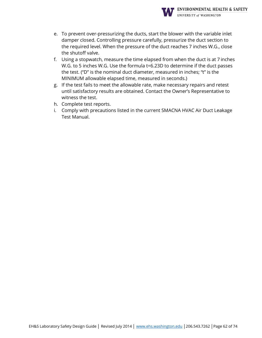![](_page_61_Picture_0.jpeg)

- e. To prevent over-pressurizing the ducts, start the blower with the variable inlet damper closed. Controlling pressure carefully, pressurize the duct section to the required level. When the pressure of the duct reaches 7 inches W.G., close the shutoff valve.
- f. Using a stopwatch, measure the time elapsed from when the duct is at 7 inches W.G. to 5 inches W.G. Use the formula t=6.23D to determine if the duct passes the test. ("D" is the nominal duct diameter, measured in inches; "t" is the MINIMUM allowable elapsed time, measured in seconds.)
- g. If the test fails to meet the allowable rate, make necessary repairs and retest until satisfactory results are obtained. Contact the Owner's Representative to witness the test.
- h. Complete test reports.
- i. Comply with precautions listed in the current SMACNA HVAC Air Duct Leakage Test Manual.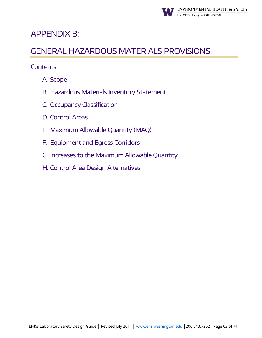![](_page_62_Picture_0.jpeg)

# <span id="page-62-0"></span>APPENDIX B:

# GENERAL HAZARDOUS MATERIALS PROVISIONS

- A. Scope
- B. Hazardous Materials Inventory Statement
- C. Occupancy Classification
- D. Control Areas
- E. Maximum Allowable Quantity (MAQ)
- F. Equipment and Egress Corridors
- G. Increases to the Maximum Allowable Quantity
- H. Control Area Design Alternatives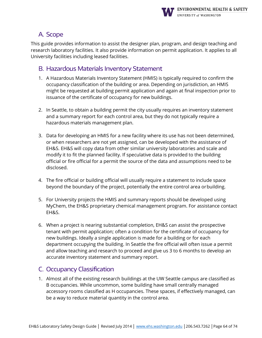![](_page_63_Picture_0.jpeg)

# A. Scope

This guide provides information to assist the designer plan, program, and design teaching and research laboratory facilities. It also provide information on permit application. It applies to all University facilities including leased facilities.

#### B. Hazardous Materials Inventory Statement

- 1. A Hazardous Materials Inventory Statement (HMIS) is typically required to confirm the occupancy classification of the building or area. Depending on jurisdiction, an HMIS might be requested at building permit application and again at final inspection prior to issuance of the certificate of occupancy for new buildings.
- 2. In Seattle, to obtain a building permit the city usually requires an inventory statement and a summary report for each control area, but they do not typically require a hazardous materials management plan.
- 3. Data for developing an HMIS for a new facility where its use has not been determined, or when researchers are not yet assigned, can be developed with the assistance of EH&S. EH&S will copy data from other similar university laboratories and scale and modify it to fit the planned facility. If speculative data is provided to the building official or fire official for a permit the source of the data and assumptions need to be disclosed.
- 4. The fire official or building official will usually require a statement to include space beyond the boundary of the project, potentially the entire control area orbuilding.
- 5. For University projects the HMIS and summary reports should be developed using MyChem, the EH&S proprietary chemical management program. For assistance contact EH&S.
- 6. When a project is nearing substantial completion, EH&S can assist the prospective tenant with permit application; often a condition for the certificate of occupancy for new buildings. Ideally a single application is made for a building or for each department occupying the building. In Seattle the fire official will often issue a permit and allow teaching and research to proceed and give us 3 to 6 months to develop an accurate inventory statement and summary report.

# C. Occupancy Classification

1. Almost all of the existing research buildings at the UW Seattle campus are classified as B occupancies. While uncommon, some building have small centrally managed accessory rooms classified as H occupancies. These spaces, if effectively managed, can be a way to reduce material quantity in the control area.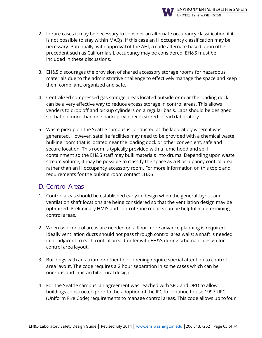![](_page_64_Picture_0.jpeg)

- 3. EH&S discourages the provision of shared accessory storage rooms for hazardous materials due to the administrative challenge to effectively manage the space and keep them compliant, organized and safe.
- 4. Centralized compressed gas storage areas located outside or near the loading dock can be a very effective way to reduce excess storage in control areas. This allows venders to drop off and pickup cylinders on a regular basis. Labs should be designed so that no more than one backup cylinder is stored in each laboratory.
- 5. Waste pickup on the Seattle campus is conducted at the laboratory where it was generated. However, satellite facilities may need to be provided with a chemical waste bulking room that is located near the loading dock or other convenient, safe and secure location. This room is typically provided with a fume hood and spill containment so the EH&S staff may bulk materials into drums. Depending upon waste stream volume, it may be possible to classify the space as a B occupancy control area rather than an H occupancy accessory room. For more information on this topic and requirements for the bulking room contact EH&S.

# D. Control Areas

- 1. Control areas should be established early in design when the general layout and ventilation shaft locations are being considered so that the ventilation design may be optimized. Preliminary HMIS and control zone reports can be helpful in determining control areas.
- 2. When two control areas are needed on a floor more advance planning is required. Ideally ventilation ducts should not pass through control area walls; a shaft is needed in or adjacent to each control area. Confer with EH&S during schematic design for control area layout.
- 3. Buildings with an atrium or other floor opening require special attention to control area layout. The code requires a 2 hour separation in some cases which can be onerous and limit architectural design.
- 4. For the Seattle campus, an agreement was reached with SFD and DPD to allow buildings constructed prior to the adoption of the IFC to continue to use 1997 UFC (Uniform Fire Code) requirements to manage control areas. This code allows up tofour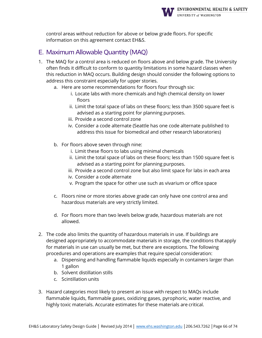![](_page_65_Picture_0.jpeg)

control areas without reduction for above or below grade floors. For specific information on this agreement contact EH&S.

### E. Maximum Allowable Quantity (MAQ)

- 1. The MAQ for a control area is reduced on floors above and below grade. The University often finds it difficult to conform to quantity limitations in some hazard classes when this reduction in MAQ occurs. Building design should consider the following options to address this constraint especially for upper stories.
	- a. Here are some recommendations for floors four through six:
		- i. Locate labs with more chemicals and high chemical density on lower floors
		- ii. Limit the total space of labs on these floors; less than 3500 square feet is advised as a starting point for planning purposes.
		- iii. Provide a second control zone
		- iv. Consider a code alternate (Seattle has one code alternate published to address this issue for biomedical and other research laboratories)
	- b. For floors above seven through nine:
		- i. Limit these floors to labs using minimal chemicals
		- ii. Limit the total space of labs on these floors; less than 1500 square feet is advised as a starting point for planning purposes.
		- iii. Provide a second control zone but also limit space for labs in each area
		- iv. Consider a code alternate
		- v. Program the space for other use such as vivarium or office space
	- c. Floors nine or more stories above grade can only have one control area and hazardous materials are very strictly limited.
	- d. For floors more than two levels below grade, hazardous materials are not allowed.
- 2. The code also limits the quantity of hazardous materials in use. If buildings are designed appropriately to accommodate materials in storage, the conditions thatapply for materials in use can usually be met, but there are exceptions. The following procedures and operations are examples that require special consideration:
	- a. Dispensing and handling flammable liquids especially in containers larger than 1 gallon
	- b. Solvent distillation stills
	- c. Scintillation units
- 3. Hazard categories most likely to present an issue with respect to MAQs include flammable liquids, flammable gases, oxidizing gases, pyrophoric, water reactive, and highly toxic materials. Accurate estimates for these materials are critical.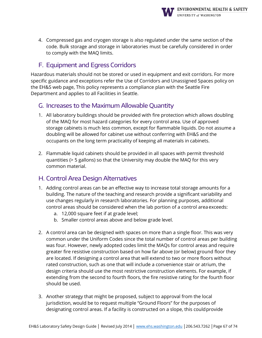![](_page_66_Picture_0.jpeg)

4. Compressed gas and cryogen storage is also regulated under the same section of the code. Bulk storage and storage in laboratories must be carefully considered in order to comply with the MAQ limits.

# F. Equipment and Egress Corridors

Hazardous materials should not be stored or used in equipment and exit corridors. For more specific guidance and exceptions refer the Use of Corridors and Unassigned Spaces policy on the EH&S web page, This policy represents a compliance plan with the Seattle Fire Department and applies to all Facilities in Seattle.

#### G. Increases to the Maximum Allowable Quantity

- 1. All laboratory buildings should be provided with fire protection which allows doubling of the MAQ for most hazard categories for every control area. Use of approved storage cabinets is much less common, except for flammable liquids. Do not assume a doubling will be allowed for cabinet use without conferring with EH&S and the occupants on the long term practicality of keeping all materials in cabinets.
- 2. Flammable liquid cabinets should be provided in all spaces with permit threshold quantities (> 5 gallons) so that the University may double the MAQ for this very common material.

# H. Control Area Design Alternatives

- 1. Adding control areas can be an effective way to increase total storage amounts for a building. The nature of the teaching and research provide a significant variability and use changes regularly in research laboratories. For planning purposes, additional control areas should be considered when the lab portion of a control area exceeds:
	- a. 12,000 square feet if at grade level;
	- b. Smaller control areas above and below grade level.
- 2. A control area can be designed with spaces on more than a single floor. This was very common under the Uniform Codes since the total number of control areas per building was four. However, newly adopted codes limit the MAQs for control areas and require greater fire resistive construction based on how far above (or below) ground floor they are located. If designing a control area that will extend to two or more floors without rated construction, such as one that will include a convenience stair or atrium, the design criteria should use the most restrictive construction elements. For example, if extending from the second to fourth floors, the fire resistive rating for the fourth floor should be used.
- 3. Another strategy that might be proposed, subject to approval from the local jurisdiction, would be to request multiple "Ground Floors" for the purposes of designating control areas. If a facility is constructed on a slope, this couldprovide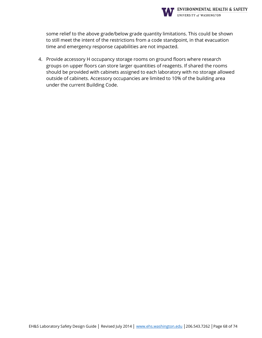![](_page_67_Picture_0.jpeg)

some relief to the above grade/below grade quantity limitations. This could be shown to still meet the intent of the restrictions from a code standpoint, in that evacuation time and emergency response capabilities are not impacted.

4. Provide accessory H occupancy storage rooms on ground floors where research groups on upper floors can store larger quantities of reagents. If shared the rooms should be provided with cabinets assigned to each laboratory with no storage allowed outside of cabinets. Accessory occupancies are limited to 10% of the building area under the current Building Code.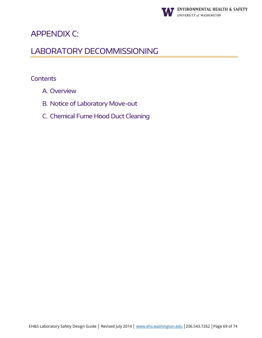![](_page_68_Picture_0.jpeg)

# <span id="page-68-0"></span>APPENDIX C:

# LABORATORY DECOMMISSIONING

- A. Overview
- B. Notice of Laboratory Move-out
- C. Chemical Fume Hood Duct Cleaning